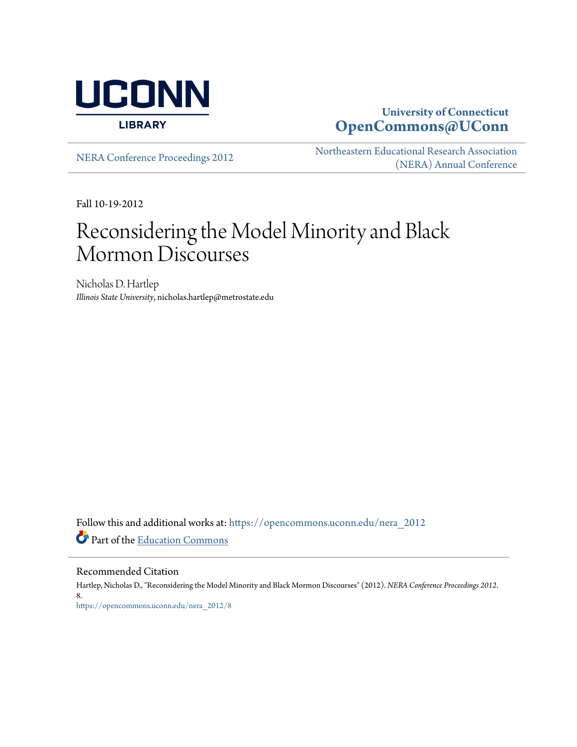

# **University of Connecticut [OpenCommons@UConn](https://opencommons.uconn.edu?utm_source=opencommons.uconn.edu%2Fnera_2012%2F8&utm_medium=PDF&utm_campaign=PDFCoverPages)**

[NERA Conference Proceedings 2012](https://opencommons.uconn.edu/nera_2012?utm_source=opencommons.uconn.edu%2Fnera_2012%2F8&utm_medium=PDF&utm_campaign=PDFCoverPages) [Northeastern Educational Research Association](https://opencommons.uconn.edu/nera?utm_source=opencommons.uconn.edu%2Fnera_2012%2F8&utm_medium=PDF&utm_campaign=PDFCoverPages) [\(NERA\) Annual Conference](https://opencommons.uconn.edu/nera?utm_source=opencommons.uconn.edu%2Fnera_2012%2F8&utm_medium=PDF&utm_campaign=PDFCoverPages)

Fall 10-19-2012

# Reconsidering the Model Minority and Black Mormon Discourses

Nicholas D. Hartlep *Illinois State University*, nicholas.hartlep@metrostate.edu

Follow this and additional works at: [https://opencommons.uconn.edu/nera\\_2012](https://opencommons.uconn.edu/nera_2012?utm_source=opencommons.uconn.edu%2Fnera_2012%2F8&utm_medium=PDF&utm_campaign=PDFCoverPages) Part of the [Education Commons](http://network.bepress.com/hgg/discipline/784?utm_source=opencommons.uconn.edu%2Fnera_2012%2F8&utm_medium=PDF&utm_campaign=PDFCoverPages)

Recommended Citation

Hartlep, Nicholas D., "Reconsidering the Model Minority and Black Mormon Discourses" (2012). *NERA Conference Proceedings 2012*. 8. [https://opencommons.uconn.edu/nera\\_2012/8](https://opencommons.uconn.edu/nera_2012/8?utm_source=opencommons.uconn.edu%2Fnera_2012%2F8&utm_medium=PDF&utm_campaign=PDFCoverPages)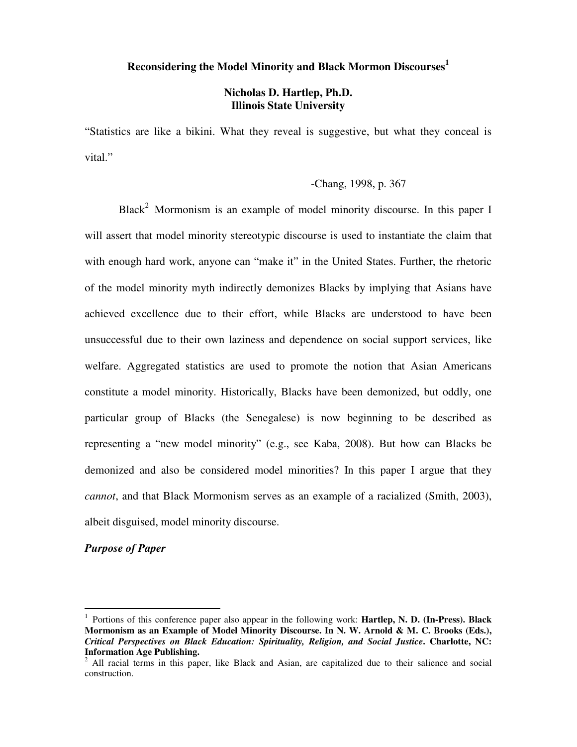# **Reconsidering the Model Minority and Black Mormon Discourses<sup>1</sup>**

# **Nicholas D. Hartlep, Ph.D. Illinois State University**

"Statistics are like a bikini. What they reveal is suggestive, but what they conceal is vital."

# -Chang, 1998, p. 367

Black<sup>2</sup> Mormonism is an example of model minority discourse. In this paper I will assert that model minority stereotypic discourse is used to instantiate the claim that with enough hard work, anyone can "make it" in the United States. Further, the rhetoric of the model minority myth indirectly demonizes Blacks by implying that Asians have achieved excellence due to their effort, while Blacks are understood to have been unsuccessful due to their own laziness and dependence on social support services, like welfare. Aggregated statistics are used to promote the notion that Asian Americans constitute a model minority. Historically, Blacks have been demonized, but oddly, one particular group of Blacks (the Senegalese) is now beginning to be described as representing a "new model minority" (e.g., see Kaba, 2008). But how can Blacks be demonized and also be considered model minorities? In this paper I argue that they *cannot*, and that Black Mormonism serves as an example of a racialized (Smith, 2003), albeit disguised, model minority discourse.

# *Purpose of Paper*

-

<sup>&</sup>lt;sup>1</sup> Portions of this conference paper also appear in the following work: **Hartlep, N. D. (In-Press). Black Mormonism as an Example of Model Minority Discourse. In N. W. Arnold & M. C. Brooks (Eds.),**  *Critical Perspectives on Black Education: Spirituality, Religion, and Social Justice***. Charlotte, NC: Information Age Publishing.** 

 $2$  All racial terms in this paper, like Black and Asian, are capitalized due to their salience and social construction.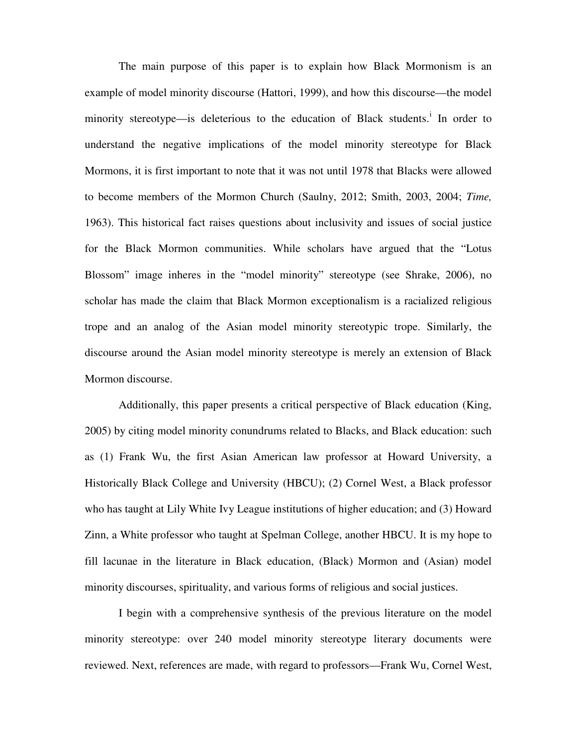The main purpose of this paper is to explain how Black Mormonism is an example of model minority discourse (Hattori, 1999), and how this discourse—the model minority stereotype—is deleterious to the education of Black students.<sup>i</sup> In order to understand the negative implications of the model minority stereotype for Black Mormons, it is first important to note that it was not until 1978 that Blacks were allowed to become members of the Mormon Church (Saulny, 2012; Smith, 2003, 2004; *Time,*  1963). This historical fact raises questions about inclusivity and issues of social justice for the Black Mormon communities. While scholars have argued that the "Lotus Blossom" image inheres in the "model minority" stereotype (see Shrake, 2006), no scholar has made the claim that Black Mormon exceptionalism is a racialized religious trope and an analog of the Asian model minority stereotypic trope. Similarly, the discourse around the Asian model minority stereotype is merely an extension of Black Mormon discourse.

Additionally, this paper presents a critical perspective of Black education (King, 2005) by citing model minority conundrums related to Blacks, and Black education: such as (1) Frank Wu, the first Asian American law professor at Howard University, a Historically Black College and University (HBCU); (2) Cornel West, a Black professor who has taught at Lily White Ivy League institutions of higher education; and (3) Howard Zinn, a White professor who taught at Spelman College, another HBCU. It is my hope to fill lacunae in the literature in Black education, (Black) Mormon and (Asian) model minority discourses, spirituality, and various forms of religious and social justices.

I begin with a comprehensive synthesis of the previous literature on the model minority stereotype: over 240 model minority stereotype literary documents were reviewed. Next, references are made, with regard to professors—Frank Wu, Cornel West,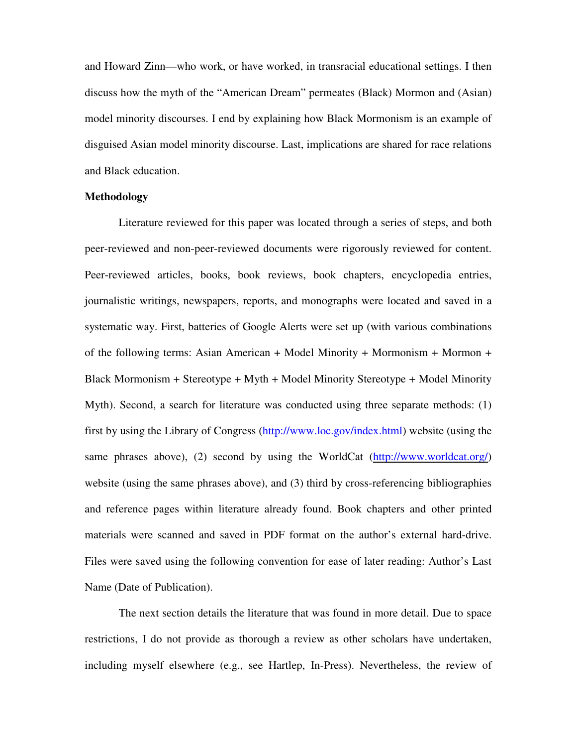and Howard Zinn—who work, or have worked, in transracial educational settings. I then discuss how the myth of the "American Dream" permeates (Black) Mormon and (Asian) model minority discourses. I end by explaining how Black Mormonism is an example of disguised Asian model minority discourse. Last, implications are shared for race relations and Black education.

## **Methodology**

Literature reviewed for this paper was located through a series of steps, and both peer-reviewed and non-peer-reviewed documents were rigorously reviewed for content. Peer-reviewed articles, books, book reviews, book chapters, encyclopedia entries, journalistic writings, newspapers, reports, and monographs were located and saved in a systematic way. First, batteries of Google Alerts were set up (with various combinations of the following terms: Asian American + Model Minority + Mormonism + Mormon + Black Mormonism + Stereotype + Myth + Model Minority Stereotype + Model Minority Myth). Second, a search for literature was conducted using three separate methods: (1) first by using the Library of Congress (http://www.loc.gov/index.html) website (using the same phrases above), (2) second by using the WorldCat (http://www.worldcat.org/) website (using the same phrases above), and (3) third by cross-referencing bibliographies and reference pages within literature already found. Book chapters and other printed materials were scanned and saved in PDF format on the author's external hard-drive. Files were saved using the following convention for ease of later reading: Author's Last Name (Date of Publication).

The next section details the literature that was found in more detail. Due to space restrictions, I do not provide as thorough a review as other scholars have undertaken, including myself elsewhere (e.g., see Hartlep, In-Press). Nevertheless, the review of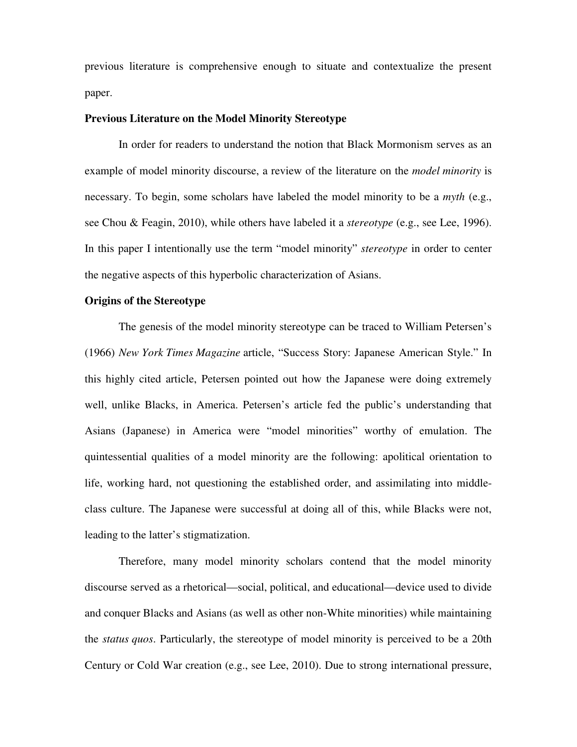previous literature is comprehensive enough to situate and contextualize the present paper.

# **Previous Literature on the Model Minority Stereotype**

 In order for readers to understand the notion that Black Mormonism serves as an example of model minority discourse, a review of the literature on the *model minority* is necessary. To begin, some scholars have labeled the model minority to be a *myth* (e.g., see Chou & Feagin, 2010), while others have labeled it a *stereotype* (e.g., see Lee, 1996). In this paper I intentionally use the term "model minority" *stereotype* in order to center the negative aspects of this hyperbolic characterization of Asians.

# **Origins of the Stereotype**

The genesis of the model minority stereotype can be traced to William Petersen's (1966) *New York Times Magazine* article, "Success Story: Japanese American Style." In this highly cited article, Petersen pointed out how the Japanese were doing extremely well, unlike Blacks, in America. Petersen's article fed the public's understanding that Asians (Japanese) in America were "model minorities" worthy of emulation. The quintessential qualities of a model minority are the following: apolitical orientation to life, working hard, not questioning the established order, and assimilating into middleclass culture. The Japanese were successful at doing all of this, while Blacks were not, leading to the latter's stigmatization.

Therefore, many model minority scholars contend that the model minority discourse served as a rhetorical—social, political, and educational—device used to divide and conquer Blacks and Asians (as well as other non-White minorities) while maintaining the *status quos*. Particularly, the stereotype of model minority is perceived to be a 20th Century or Cold War creation (e.g., see Lee, 2010). Due to strong international pressure,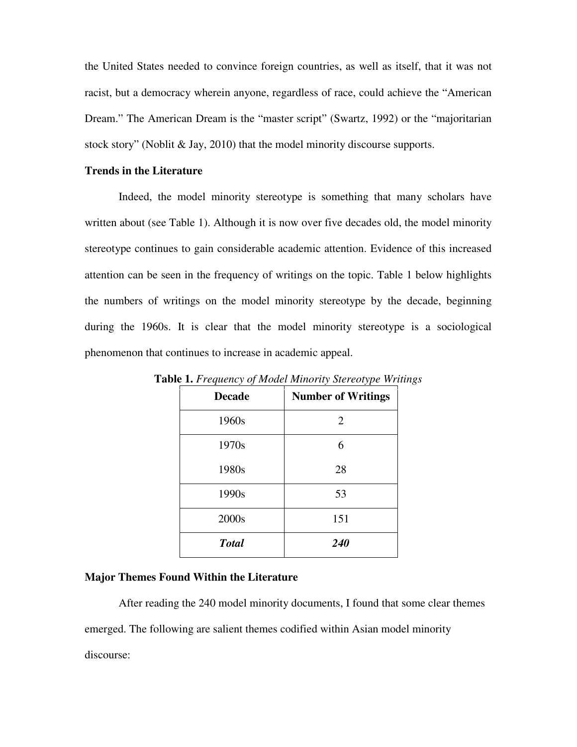the United States needed to convince foreign countries, as well as itself, that it was not racist, but a democracy wherein anyone, regardless of race, could achieve the "American Dream." The American Dream is the "master script" (Swartz, 1992) or the "majoritarian stock story" (Noblit & Jay, 2010) that the model minority discourse supports.

# **Trends in the Literature**

 Indeed, the model minority stereotype is something that many scholars have written about (see Table 1). Although it is now over five decades old, the model minority stereotype continues to gain considerable academic attention. Evidence of this increased attention can be seen in the frequency of writings on the topic. Table 1 below highlights the numbers of writings on the model minority stereotype by the decade, beginning during the 1960s. It is clear that the model minority stereotype is a sociological phenomenon that continues to increase in academic appeal.

| <b>Decade</b> | <b>Number of Writings</b> |
|---------------|---------------------------|
| 1960s         | 2                         |
| 1970s         | 6                         |
| 1980s         | 28                        |
| 1990s         | 53                        |
| 2000s         | 151                       |
| <b>Total</b>  | 240                       |

**Table 1.** *Frequency of Model Minority Stereotype Writings* 

#### **Major Themes Found Within the Literature**

After reading the 240 model minority documents, I found that some clear themes emerged. The following are salient themes codified within Asian model minority discourse: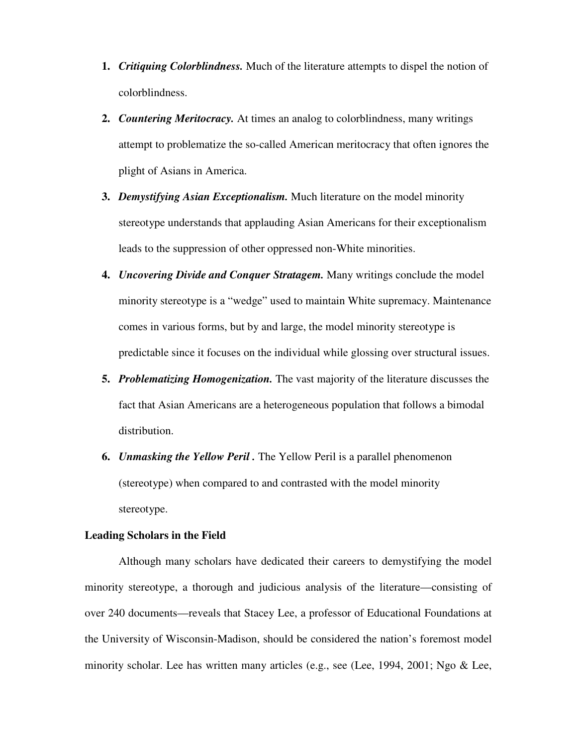- **1.** *Critiquing Colorblindness.* Much of the literature attempts to dispel the notion of colorblindness.
- **2.** *Countering Meritocracy.* At times an analog to colorblindness, many writings attempt to problematize the so-called American meritocracy that often ignores the plight of Asians in America.
- **3.** *Demystifying Asian Exceptionalism.* Much literature on the model minority stereotype understands that applauding Asian Americans for their exceptionalism leads to the suppression of other oppressed non-White minorities.
- **4.** *Uncovering Divide and Conquer Stratagem.* Many writings conclude the model minority stereotype is a "wedge" used to maintain White supremacy. Maintenance comes in various forms, but by and large, the model minority stereotype is predictable since it focuses on the individual while glossing over structural issues.
- **5.** *Problematizing Homogenization.* The vast majority of the literature discusses the fact that Asian Americans are a heterogeneous population that follows a bimodal distribution.
- **6.** *Unmasking the Yellow Peril .* The Yellow Peril is a parallel phenomenon (stereotype) when compared to and contrasted with the model minority stereotype.

#### **Leading Scholars in the Field**

Although many scholars have dedicated their careers to demystifying the model minority stereotype, a thorough and judicious analysis of the literature—consisting of over 240 documents—reveals that Stacey Lee, a professor of Educational Foundations at the University of Wisconsin-Madison, should be considered the nation's foremost model minority scholar. Lee has written many articles (e.g., see (Lee, 1994, 2001; Ngo & Lee,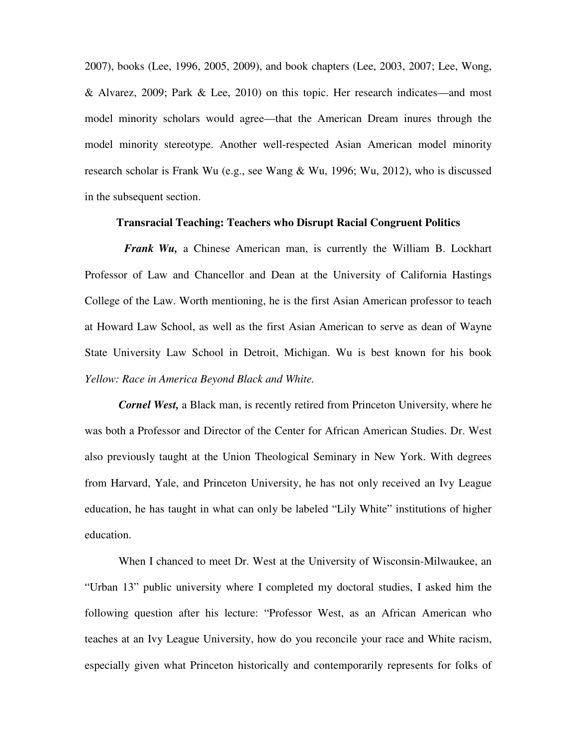2007), books (Lee, 1996, 2005, 2009), and book chapters (Lee, 2003, 2007; Lee, Wong, & Alvarez, 2009; Park & Lee, 2010) on this topic. Her research indicates—and most model minority scholars would agree—that the American Dream inures through the model minority stereotype. Another well-respected Asian American model minority research scholar is Frank Wu (e.g., see Wang & Wu, 1996; Wu, 2012), who is discussed in the subsequent section.

#### **Transracial Teaching: Teachers who Disrupt Racial Congruent Politics**

 *Frank Wu,* a Chinese American man, is currently the William B. Lockhart Professor of Law and Chancellor and Dean at the University of California Hastings College of the Law. Worth mentioning, he is the first Asian American professor to teach at Howard Law School, as well as the first Asian American to serve as dean of Wayne State University Law School in Detroit, Michigan. Wu is best known for his book *Yellow: Race in America Beyond Black and White.*

*Cornel West,* a Black man, is recently retired from Princeton University, where he was both a Professor and Director of the Center for African American Studies. Dr. West also previously taught at the Union Theological Seminary in New York. With degrees from Harvard, Yale, and Princeton University, he has not only received an Ivy League education, he has taught in what can only be labeled "Lily White" institutions of higher education.

When I chanced to meet Dr. West at the University of Wisconsin-Milwaukee, an "Urban 13" public university where I completed my doctoral studies, I asked him the following question after his lecture: "Professor West, as an African American who teaches at an Ivy League University, how do you reconcile your race and White racism, especially given what Princeton historically and contemporarily represents for folks of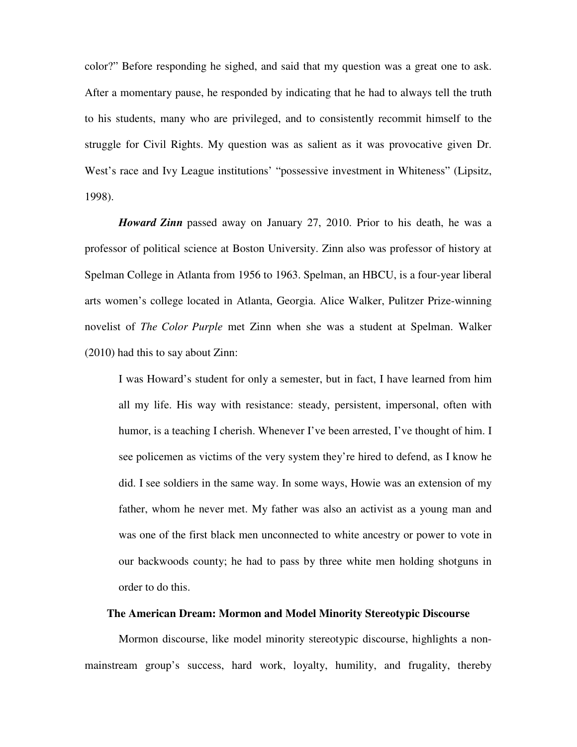color?" Before responding he sighed, and said that my question was a great one to ask. After a momentary pause, he responded by indicating that he had to always tell the truth to his students, many who are privileged, and to consistently recommit himself to the struggle for Civil Rights. My question was as salient as it was provocative given Dr. West's race and Ivy League institutions' "possessive investment in Whiteness" (Lipsitz, 1998).

*Howard Zinn* passed away on January 27, 2010. Prior to his death, he was a professor of political science at Boston University. Zinn also was professor of history at Spelman College in Atlanta from 1956 to 1963. Spelman, an HBCU, is a four-year liberal arts women's college located in Atlanta, Georgia. Alice Walker, Pulitzer Prize-winning novelist of *The Color Purple* met Zinn when she was a student at Spelman. Walker (2010) had this to say about Zinn:

I was Howard's student for only a semester, but in fact, I have learned from him all my life. His way with resistance: steady, persistent, impersonal, often with humor, is a teaching I cherish. Whenever I've been arrested, I've thought of him. I see policemen as victims of the very system they're hired to defend, as I know he did. I see soldiers in the same way. In some ways, Howie was an extension of my father, whom he never met. My father was also an activist as a young man and was one of the first black men unconnected to white ancestry or power to vote in our backwoods county; he had to pass by three white men holding shotguns in order to do this.

#### **The American Dream: Mormon and Model Minority Stereotypic Discourse**

 Mormon discourse, like model minority stereotypic discourse, highlights a nonmainstream group's success, hard work, loyalty, humility, and frugality, thereby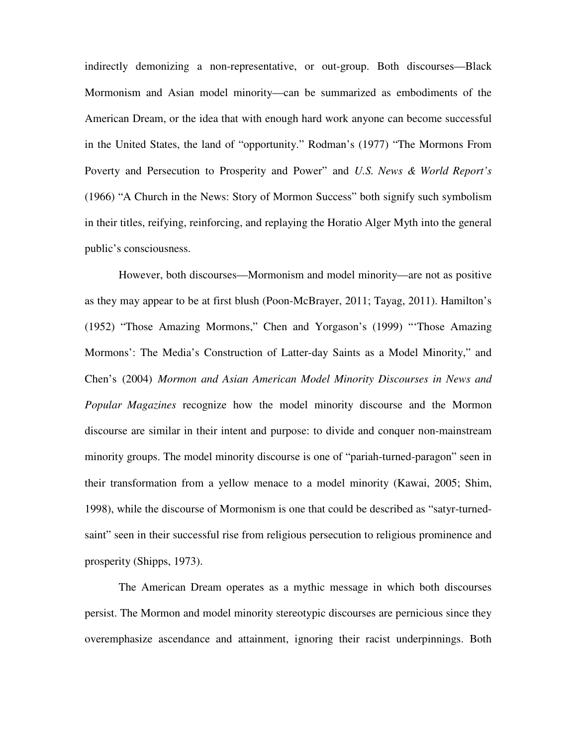indirectly demonizing a non-representative, or out-group. Both discourses—Black Mormonism and Asian model minority—can be summarized as embodiments of the American Dream, or the idea that with enough hard work anyone can become successful in the United States, the land of "opportunity." Rodman's (1977) "The Mormons From Poverty and Persecution to Prosperity and Power" and *U.S. News & World Report's* (1966) "A Church in the News: Story of Mormon Success" both signify such symbolism in their titles, reifying, reinforcing, and replaying the Horatio Alger Myth into the general public's consciousness.

However, both discourses—Mormonism and model minority—are not as positive as they may appear to be at first blush (Poon-McBrayer, 2011; Tayag, 2011). Hamilton's (1952) "Those Amazing Mormons," Chen and Yorgason's (1999) "'Those Amazing Mormons': The Media's Construction of Latter-day Saints as a Model Minority," and Chen's (2004) *Mormon and Asian American Model Minority Discourses in News and Popular Magazines* recognize how the model minority discourse and the Mormon discourse are similar in their intent and purpose: to divide and conquer non-mainstream minority groups. The model minority discourse is one of "pariah-turned-paragon" seen in their transformation from a yellow menace to a model minority (Kawai, 2005; Shim, 1998), while the discourse of Mormonism is one that could be described as "satyr-turnedsaint" seen in their successful rise from religious persecution to religious prominence and prosperity (Shipps, 1973).

 The American Dream operates as a mythic message in which both discourses persist. The Mormon and model minority stereotypic discourses are pernicious since they overemphasize ascendance and attainment, ignoring their racist underpinnings. Both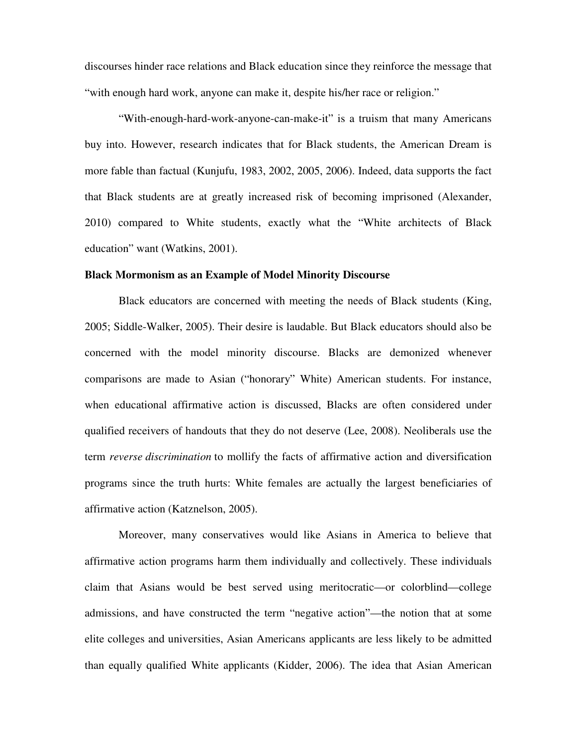discourses hinder race relations and Black education since they reinforce the message that "with enough hard work, anyone can make it, despite his/her race or religion."

 "With-enough-hard-work-anyone-can-make-it" is a truism that many Americans buy into. However, research indicates that for Black students, the American Dream is more fable than factual (Kunjufu, 1983, 2002, 2005, 2006). Indeed, data supports the fact that Black students are at greatly increased risk of becoming imprisoned (Alexander, 2010) compared to White students, exactly what the "White architects of Black education" want (Watkins, 2001).

# **Black Mormonism as an Example of Model Minority Discourse**

Black educators are concerned with meeting the needs of Black students (King, 2005; Siddle-Walker, 2005). Their desire is laudable. But Black educators should also be concerned with the model minority discourse. Blacks are demonized whenever comparisons are made to Asian ("honorary" White) American students. For instance, when educational affirmative action is discussed, Blacks are often considered under qualified receivers of handouts that they do not deserve (Lee, 2008). Neoliberals use the term *reverse discrimination* to mollify the facts of affirmative action and diversification programs since the truth hurts: White females are actually the largest beneficiaries of affirmative action (Katznelson, 2005).

Moreover, many conservatives would like Asians in America to believe that affirmative action programs harm them individually and collectively. These individuals claim that Asians would be best served using meritocratic—or colorblind—college admissions, and have constructed the term "negative action"—the notion that at some elite colleges and universities, Asian Americans applicants are less likely to be admitted than equally qualified White applicants (Kidder, 2006). The idea that Asian American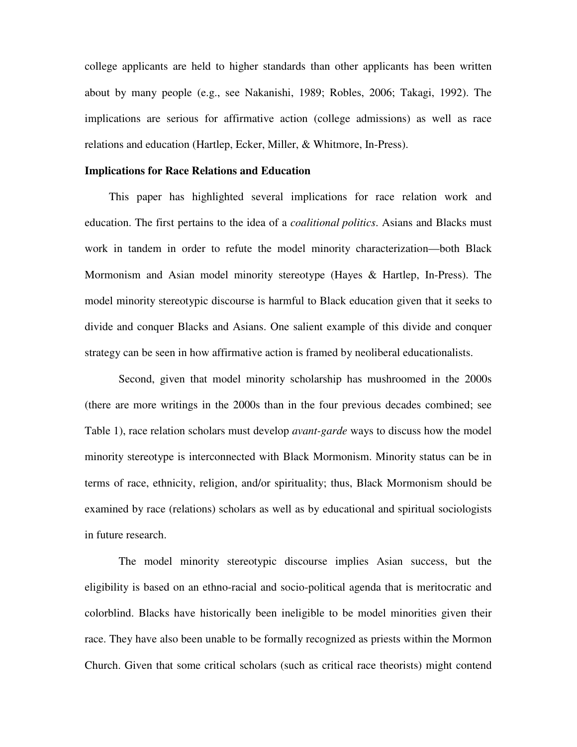college applicants are held to higher standards than other applicants has been written about by many people (e.g., see Nakanishi, 1989; Robles, 2006; Takagi, 1992). The implications are serious for affirmative action (college admissions) as well as race relations and education (Hartlep, Ecker, Miller, & Whitmore, In-Press).

# **Implications for Race Relations and Education**

This paper has highlighted several implications for race relation work and education. The first pertains to the idea of a *coalitional politics*. Asians and Blacks must work in tandem in order to refute the model minority characterization—both Black Mormonism and Asian model minority stereotype (Hayes & Hartlep, In-Press). The model minority stereotypic discourse is harmful to Black education given that it seeks to divide and conquer Blacks and Asians. One salient example of this divide and conquer strategy can be seen in how affirmative action is framed by neoliberal educationalists.

Second, given that model minority scholarship has mushroomed in the 2000s (there are more writings in the 2000s than in the four previous decades combined; see Table 1), race relation scholars must develop *avant-garde* ways to discuss how the model minority stereotype is interconnected with Black Mormonism. Minority status can be in terms of race, ethnicity, religion, and/or spirituality; thus, Black Mormonism should be examined by race (relations) scholars as well as by educational and spiritual sociologists in future research.

 The model minority stereotypic discourse implies Asian success, but the eligibility is based on an ethno-racial and socio-political agenda that is meritocratic and colorblind. Blacks have historically been ineligible to be model minorities given their race. They have also been unable to be formally recognized as priests within the Mormon Church. Given that some critical scholars (such as critical race theorists) might contend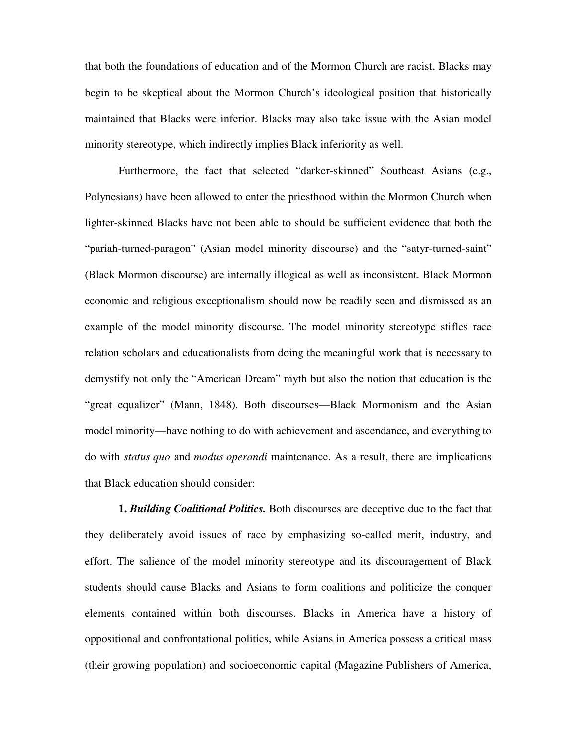that both the foundations of education and of the Mormon Church are racist, Blacks may begin to be skeptical about the Mormon Church's ideological position that historically maintained that Blacks were inferior. Blacks may also take issue with the Asian model minority stereotype, which indirectly implies Black inferiority as well.

Furthermore, the fact that selected "darker-skinned" Southeast Asians (e.g., Polynesians) have been allowed to enter the priesthood within the Mormon Church when lighter-skinned Blacks have not been able to should be sufficient evidence that both the "pariah-turned-paragon" (Asian model minority discourse) and the "satyr-turned-saint" (Black Mormon discourse) are internally illogical as well as inconsistent. Black Mormon economic and religious exceptionalism should now be readily seen and dismissed as an example of the model minority discourse. The model minority stereotype stifles race relation scholars and educationalists from doing the meaningful work that is necessary to demystify not only the "American Dream" myth but also the notion that education is the "great equalizer" (Mann, 1848). Both discourses—Black Mormonism and the Asian model minority—have nothing to do with achievement and ascendance, and everything to do with *status quo* and *modus operandi* maintenance. As a result, there are implications that Black education should consider:

**1.** *Building Coalitional Politics.* Both discourses are deceptive due to the fact that they deliberately avoid issues of race by emphasizing so-called merit, industry, and effort. The salience of the model minority stereotype and its discouragement of Black students should cause Blacks and Asians to form coalitions and politicize the conquer elements contained within both discourses. Blacks in America have a history of oppositional and confrontational politics, while Asians in America possess a critical mass (their growing population) and socioeconomic capital (Magazine Publishers of America,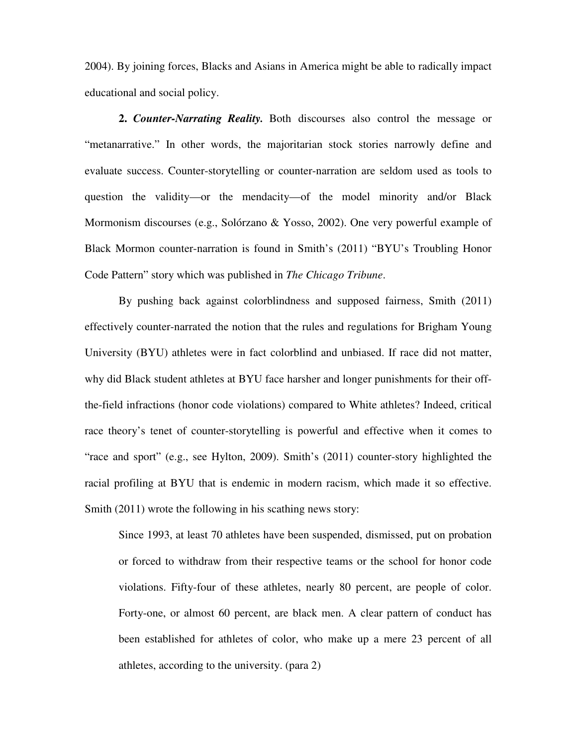2004). By joining forces, Blacks and Asians in America might be able to radically impact educational and social policy.

**2.** *Counter-Narrating Reality.* Both discourses also control the message or "metanarrative." In other words, the majoritarian stock stories narrowly define and evaluate success. Counter-storytelling or counter-narration are seldom used as tools to question the validity—or the mendacity—of the model minority and/or Black Mormonism discourses (e.g., Solórzano & Yosso, 2002). One very powerful example of Black Mormon counter-narration is found in Smith's (2011) "BYU's Troubling Honor Code Pattern" story which was published in *The Chicago Tribune*.

By pushing back against colorblindness and supposed fairness, Smith (2011) effectively counter-narrated the notion that the rules and regulations for Brigham Young University (BYU) athletes were in fact colorblind and unbiased. If race did not matter, why did Black student athletes at BYU face harsher and longer punishments for their offthe-field infractions (honor code violations) compared to White athletes? Indeed, critical race theory's tenet of counter-storytelling is powerful and effective when it comes to "race and sport" (e.g., see Hylton, 2009). Smith's (2011) counter-story highlighted the racial profiling at BYU that is endemic in modern racism, which made it so effective. Smith (2011) wrote the following in his scathing news story:

Since 1993, at least 70 athletes have been suspended, dismissed, put on probation or forced to withdraw from their respective teams or the school for honor code violations. Fifty-four of these athletes, nearly 80 percent, are people of color. Forty-one, or almost 60 percent, are black men. A clear pattern of conduct has been established for athletes of color, who make up a mere 23 percent of all athletes, according to the university. (para 2)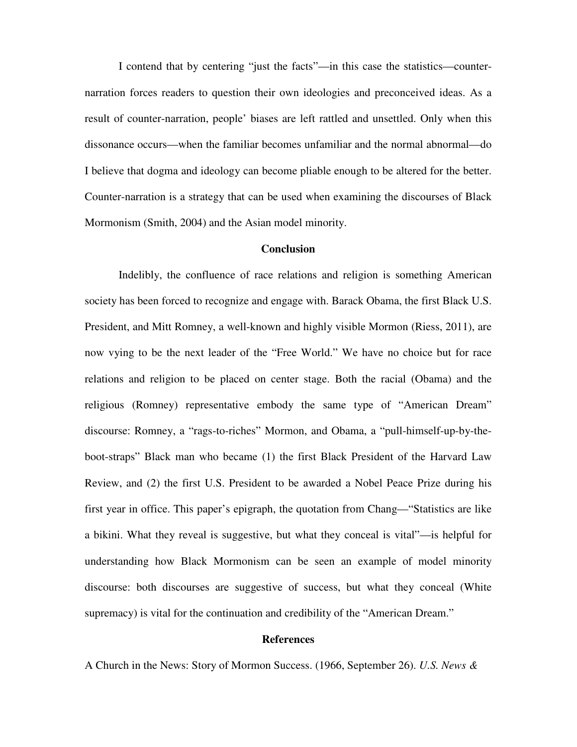I contend that by centering "just the facts"—in this case the statistics—counternarration forces readers to question their own ideologies and preconceived ideas. As a result of counter-narration, people' biases are left rattled and unsettled. Only when this dissonance occurs—when the familiar becomes unfamiliar and the normal abnormal—do I believe that dogma and ideology can become pliable enough to be altered for the better. Counter-narration is a strategy that can be used when examining the discourses of Black Mormonism (Smith, 2004) and the Asian model minority.

# **Conclusion**

Indelibly, the confluence of race relations and religion is something American society has been forced to recognize and engage with. Barack Obama, the first Black U.S. President, and Mitt Romney, a well-known and highly visible Mormon (Riess, 2011), are now vying to be the next leader of the "Free World." We have no choice but for race relations and religion to be placed on center stage. Both the racial (Obama) and the religious (Romney) representative embody the same type of "American Dream" discourse: Romney, a "rags-to-riches" Mormon, and Obama, a "pull-himself-up-by-theboot-straps" Black man who became (1) the first Black President of the Harvard Law Review, and (2) the first U.S. President to be awarded a Nobel Peace Prize during his first year in office. This paper's epigraph, the quotation from Chang—"Statistics are like a bikini. What they reveal is suggestive, but what they conceal is vital"—is helpful for understanding how Black Mormonism can be seen an example of model minority discourse: both discourses are suggestive of success, but what they conceal (White supremacy) is vital for the continuation and credibility of the "American Dream."

# **References**

A Church in the News: Story of Mormon Success. (1966, September 26). *U.S. News &*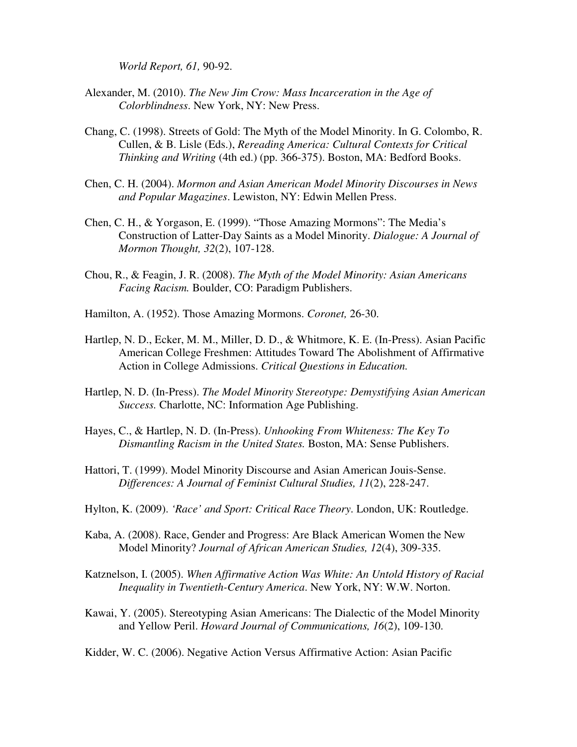*World Report, 61,* 90-92.

- Alexander, M. (2010). *The New Jim Crow: Mass Incarceration in the Age of Colorblindness*. New York, NY: New Press.
- Chang, C. (1998). Streets of Gold: The Myth of the Model Minority. In G. Colombo, R. Cullen, & B. Lisle (Eds.), *Rereading America: Cultural Contexts for Critical Thinking and Writing* (4th ed.) (pp. 366-375). Boston, MA: Bedford Books.
- Chen, C. H. (2004). *Mormon and Asian American Model Minority Discourses in News and Popular Magazines*. Lewiston, NY: Edwin Mellen Press.
- Chen, C. H., & Yorgason, E. (1999). "Those Amazing Mormons": The Media's Construction of Latter-Day Saints as a Model Minority. *Dialogue: A Journal of Mormon Thought, 32*(2), 107-128.
- Chou, R., & Feagin, J. R. (2008). *The Myth of the Model Minority: Asian Americans Facing Racism.* Boulder, CO: Paradigm Publishers.
- Hamilton, A. (1952). Those Amazing Mormons. *Coronet,* 26-30.
- Hartlep, N. D., Ecker, M. M., Miller, D. D., & Whitmore, K. E. (In-Press). Asian Pacific American College Freshmen: Attitudes Toward The Abolishment of Affirmative Action in College Admissions. *Critical Questions in Education.*
- Hartlep, N. D. (In-Press). *The Model Minority Stereotype: Demystifying Asian American Success.* Charlotte, NC: Information Age Publishing.
- Hayes, C., & Hartlep, N. D. (In-Press). *Unhooking From Whiteness: The Key To Dismantling Racism in the United States.* Boston, MA: Sense Publishers.
- Hattori, T. (1999). Model Minority Discourse and Asian American Jouis-Sense. *Differences: A Journal of Feminist Cultural Studies, 11*(2), 228-247.
- Hylton, K. (2009). *'Race' and Sport: Critical Race Theory*. London, UK: Routledge.
- Kaba, A. (2008). Race, Gender and Progress: Are Black American Women the New Model Minority? *Journal of African American Studies, 12*(4), 309-335.
- Katznelson, I. (2005). *When Affirmative Action Was White: An Untold History of Racial Inequality in Twentieth-Century America*. New York, NY: W.W. Norton.
- Kawai, Y. (2005). Stereotyping Asian Americans: The Dialectic of the Model Minority and Yellow Peril. *Howard Journal of Communications, 16*(2), 109-130.

Kidder, W. C. (2006). Negative Action Versus Affirmative Action: Asian Pacific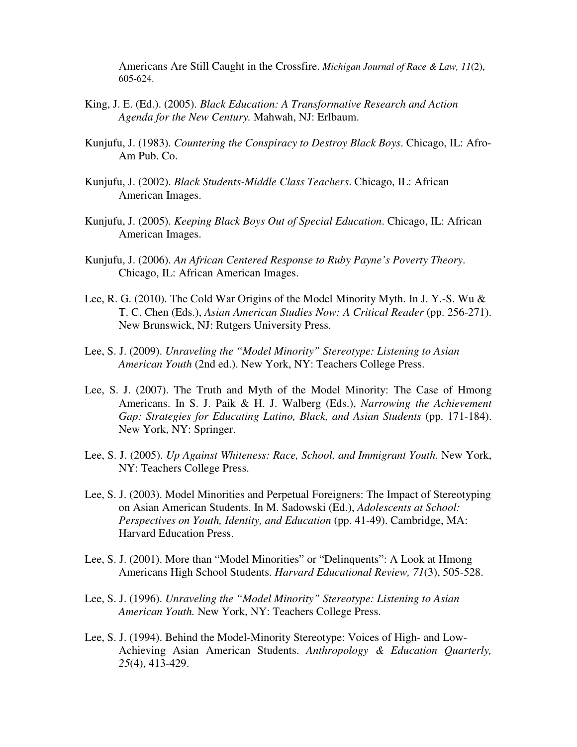Americans Are Still Caught in the Crossfire. *Michigan Journal of Race & Law, 11*(2), 605-624.

- King, J. E. (Ed.). (2005). *Black Education: A Transformative Research and Action Agenda for the New Century.* Mahwah, NJ: Erlbaum.
- Kunjufu, J. (1983). *Countering the Conspiracy to Destroy Black Boys*. Chicago, IL: Afro-Am Pub. Co.
- Kunjufu, J. (2002). *Black Students-Middle Class Teachers*. Chicago, IL: African American Images.
- Kunjufu, J. (2005). *Keeping Black Boys Out of Special Education*. Chicago, IL: African American Images.
- Kunjufu, J. (2006). *An African Centered Response to Ruby Payne's Poverty Theory*. Chicago, IL: African American Images.
- Lee, R. G. (2010). The Cold War Origins of the Model Minority Myth. In J. Y.-S. Wu & T. C. Chen (Eds.), *Asian American Studies Now: A Critical Reader* (pp. 256-271). New Brunswick, NJ: Rutgers University Press.
- Lee, S. J. (2009). *Unraveling the "Model Minority" Stereotype: Listening to Asian American Youth* (2nd ed.). New York, NY: Teachers College Press.
- Lee, S. J. (2007). The Truth and Myth of the Model Minority: The Case of Hmong Americans. In S. J. Paik & H. J. Walberg (Eds.), *Narrowing the Achievement Gap: Strategies for Educating Latino, Black, and Asian Students (pp. 171-184).* New York, NY: Springer.
- Lee, S. J. (2005). *Up Against Whiteness: Race, School, and Immigrant Youth.* New York, NY: Teachers College Press.
- Lee, S. J. (2003). Model Minorities and Perpetual Foreigners: The Impact of Stereotyping on Asian American Students. In M. Sadowski (Ed.), *Adolescents at School: Perspectives on Youth, Identity, and Education (pp. 41-49). Cambridge, MA:* Harvard Education Press.
- Lee, S. J. (2001). More than "Model Minorities" or "Delinquents": A Look at Hmong Americans High School Students. *Harvard Educational Review, 71*(3), 505-528.
- Lee, S. J. (1996). *Unraveling the "Model Minority" Stereotype: Listening to Asian American Youth.* New York, NY: Teachers College Press.
- Lee, S. J. (1994). Behind the Model-Minority Stereotype: Voices of High- and Low-Achieving Asian American Students. *Anthropology & Education Quarterly, 25*(4), 413-429.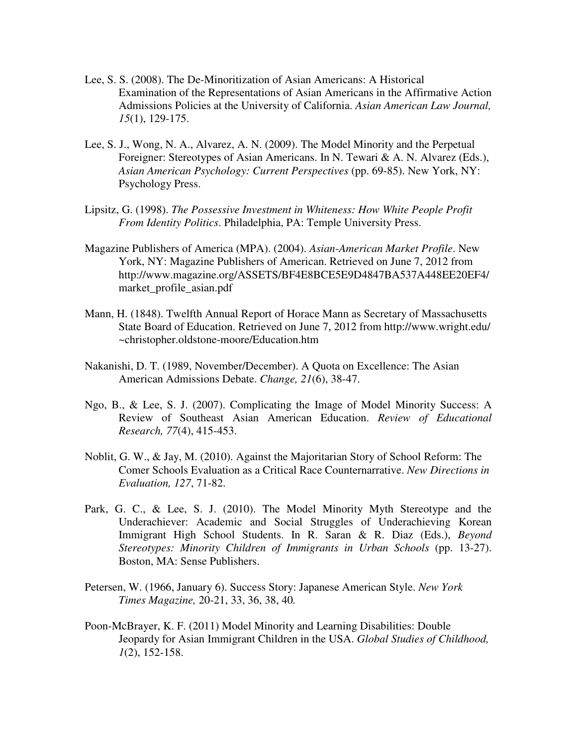- Lee, S. S. (2008). The De-Minoritization of Asian Americans: A Historical Examination of the Representations of Asian Americans in the Affirmative Action Admissions Policies at the University of California. *Asian American Law Journal, 15*(1), 129-175.
- Lee, S. J., Wong, N. A., Alvarez, A. N. (2009). The Model Minority and the Perpetual Foreigner: Stereotypes of Asian Americans. In N. Tewari & A. N. Alvarez (Eds.), *Asian American Psychology: Current Perspectives* (pp. 69-85). New York, NY: Psychology Press.
- Lipsitz, G. (1998). *The Possessive Investment in Whiteness: How White People Profit From Identity Politics*. Philadelphia, PA: Temple University Press.
- Magazine Publishers of America (MPA). (2004). *Asian-American Market Profile*. New York, NY: Magazine Publishers of American. Retrieved on June 7, 2012 from http://www.magazine.org/ASSETS/BF4E8BCE5E9D4847BA537A448EE20EF4/ market profile asian.pdf
- Mann, H. (1848). Twelfth Annual Report of Horace Mann as Secretary of Massachusetts State Board of Education. Retrieved on June 7, 2012 from http://www.wright.edu/ ~christopher.oldstone-moore/Education.htm
- Nakanishi, D. T. (1989, November/December). A Quota on Excellence: The Asian American Admissions Debate. *Change, 21*(6), 38-47.
- Ngo, B., & Lee, S. J. (2007). Complicating the Image of Model Minority Success: A Review of Southeast Asian American Education. *Review of Educational Research, 77*(4), 415-453.
- Noblit, G. W., & Jay, M. (2010). Against the Majoritarian Story of School Reform: The Comer Schools Evaluation as a Critical Race Counternarrative. *New Directions in Evaluation, 127*, 71-82.
- Park, G. C., & Lee, S. J. (2010). The Model Minority Myth Stereotype and the Underachiever: Academic and Social Struggles of Underachieving Korean Immigrant High School Students. In R. Saran & R. Diaz (Eds.), *Beyond Stereotypes: Minority Children of Immigrants in Urban Schools* (pp. 13-27). Boston, MA: Sense Publishers.
- Petersen, W. (1966, January 6). Success Story: Japanese American Style. *New York Times Magazine,* 20-21, 33, 36, 38, 40*.*
- Poon-McBrayer, K. F. (2011) Model Minority and Learning Disabilities: Double Jeopardy for Asian Immigrant Children in the USA. *Global Studies of Childhood, 1*(2), 152-158.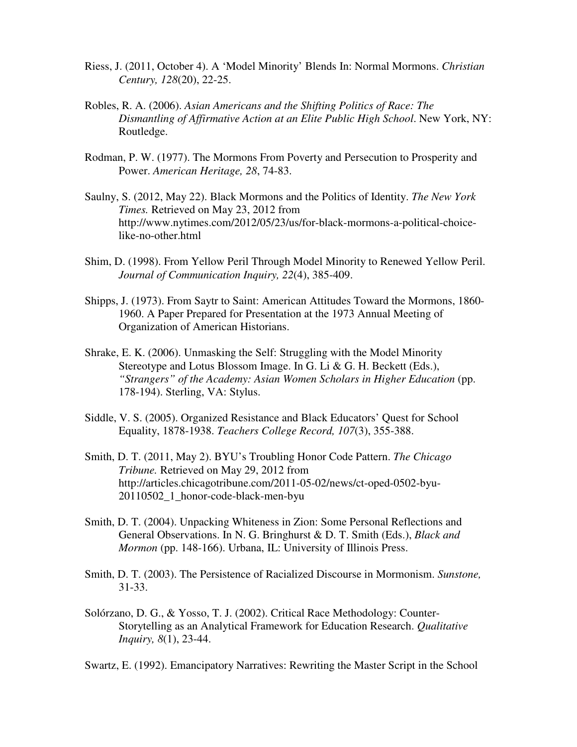- Riess, J. (2011, October 4). A 'Model Minority' Blends In: Normal Mormons. *Christian Century, 128*(20), 22-25.
- Robles, R. A. (2006). *Asian Americans and the Shifting Politics of Race: The Dismantling of Affirmative Action at an Elite Public High School*. New York, NY: Routledge.
- Rodman, P. W. (1977). The Mormons From Poverty and Persecution to Prosperity and Power. *American Heritage, 28*, 74-83.
- Saulny, S. (2012, May 22). Black Mormons and the Politics of Identity. *The New York Times.* Retrieved on May 23, 2012 from http://www.nytimes.com/2012/05/23/us/for-black-mormons-a-political-choicelike-no-other.html
- Shim, D. (1998). From Yellow Peril Through Model Minority to Renewed Yellow Peril. *Journal of Communication Inquiry, 22*(4), 385-409.
- Shipps, J. (1973). From Saytr to Saint: American Attitudes Toward the Mormons, 1860- 1960. A Paper Prepared for Presentation at the 1973 Annual Meeting of Organization of American Historians.
- Shrake, E. K. (2006). Unmasking the Self: Struggling with the Model Minority Stereotype and Lotus Blossom Image. In G. Li & G. H. Beckett (Eds.), "*Strangers*" of the Academy: Asian Women Scholars in Higher Education (pp. 178-194). Sterling, VA: Stylus.
- Siddle, V. S. (2005). Organized Resistance and Black Educators' Quest for School Equality, 1878-1938. *Teachers College Record, 107*(3), 355-388.
- Smith, D. T. (2011, May 2). BYU's Troubling Honor Code Pattern. *The Chicago Tribune.* Retrieved on May 29, 2012 from http://articles.chicagotribune.com/2011-05-02/news/ct-oped-0502-byu-20110502\_1\_honor-code-black-men-byu
- Smith, D. T. (2004). Unpacking Whiteness in Zion: Some Personal Reflections and General Observations. In N. G. Bringhurst & D. T. Smith (Eds.), *Black and Mormon* (pp. 148-166). Urbana, IL: University of Illinois Press.
- Smith, D. T. (2003). The Persistence of Racialized Discourse in Mormonism. *Sunstone,*  31-33.
- Solórzano, D. G., & Yosso, T. J. (2002). Critical Race Methodology: Counter-Storytelling as an Analytical Framework for Education Research. *Qualitative Inquiry, 8*(1), 23-44.

Swartz, E. (1992). Emancipatory Narratives: Rewriting the Master Script in the School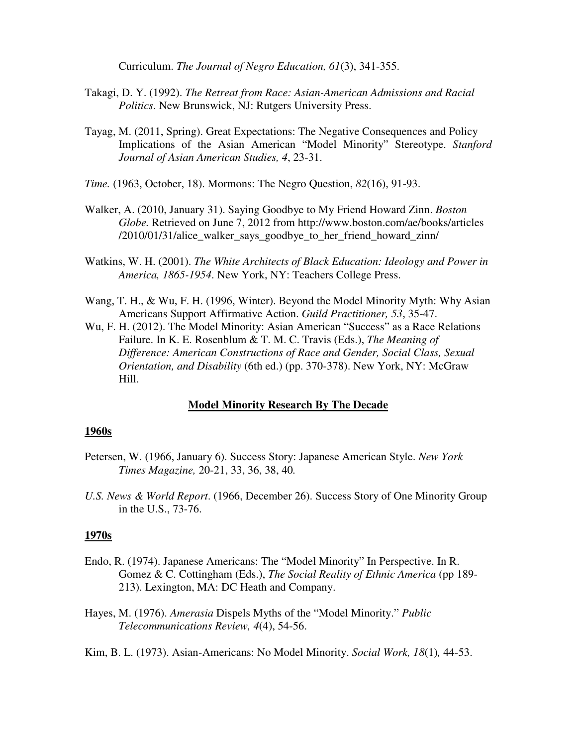Curriculum. *The Journal of Negro Education, 61*(3), 341-355.

- Takagi, D. Y. (1992). *The Retreat from Race: Asian-American Admissions and Racial Politics*. New Brunswick, NJ: Rutgers University Press.
- Tayag, M. (2011, Spring). Great Expectations: The Negative Consequences and Policy Implications of the Asian American "Model Minority" Stereotype. *Stanford Journal of Asian American Studies, 4*, 23-31.

*Time.* (1963, October, 18). Mormons: The Negro Question, *82*(16), 91-93.

- Walker, A. (2010, January 31). Saying Goodbye to My Friend Howard Zinn. *Boston Globe.* Retrieved on June 7, 2012 from http://www.boston.com/ae/books/articles /2010/01/31/alice\_walker\_says\_goodbye\_to\_her\_friend\_howard\_zinn/
- Watkins, W. H. (2001). *The White Architects of Black Education: Ideology and Power in America, 1865-1954*. New York, NY: Teachers College Press.
- Wang, T. H., & Wu, F. H. (1996, Winter). Beyond the Model Minority Myth: Why Asian Americans Support Affirmative Action. *Guild Practitioner, 53*, 35-47.
- Wu, F. H. (2012). The Model Minority: Asian American "Success" as a Race Relations Failure. In K. E. Rosenblum & T. M. C. Travis (Eds.), *The Meaning of Difference: American Constructions of Race and Gender, Social Class, Sexual Orientation, and Disability* (6th ed.) (pp. 370-378). New York, NY: McGraw Hill.

# **Model Minority Research By The Decade**

#### **1960s**

- Petersen, W. (1966, January 6). Success Story: Japanese American Style. *New York Times Magazine,* 20-21, 33, 36, 38, 40*.*
- *U.S. News & World Report*. (1966, December 26). Success Story of One Minority Group in the U.S., 73-76.

# **1970s**

- Endo, R. (1974). Japanese Americans: The "Model Minority" In Perspective. In R. Gomez & C. Cottingham (Eds.), *The Social Reality of Ethnic America* (pp 189- 213). Lexington, MA: DC Heath and Company.
- Hayes, M. (1976). *Amerasia* Dispels Myths of the "Model Minority." *Public Telecommunications Review, 4*(4), 54-56.
- Kim, B. L. (1973). Asian-Americans: No Model Minority. *Social Work, 18*(1)*,* 44-53.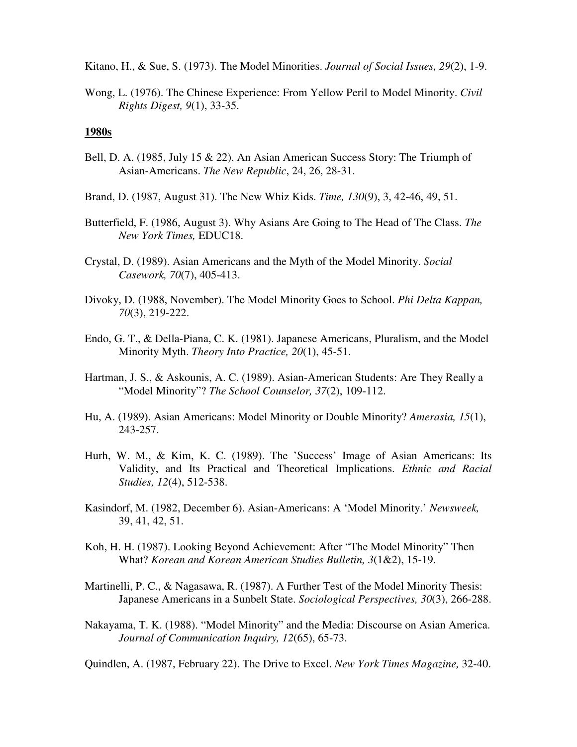Kitano, H., & Sue, S. (1973). The Model Minorities. *Journal of Social Issues, 29*(2), 1-9.

Wong, L. (1976). The Chinese Experience: From Yellow Peril to Model Minority. *Civil Rights Digest, 9*(1), 33-35.

#### **1980s**

- Bell, D. A. (1985, July 15 & 22). An Asian American Success Story: The Triumph of Asian-Americans. *The New Republic*, 24, 26, 28-31.
- Brand, D. (1987, August 31). The New Whiz Kids. *Time, 130*(9), 3, 42-46, 49, 51.
- Butterfield, F. (1986, August 3). Why Asians Are Going to The Head of The Class. *The New York Times,* EDUC18.
- Crystal, D. (1989). Asian Americans and the Myth of the Model Minority. *Social Casework, 70*(7), 405-413.
- Divoky, D. (1988, November). The Model Minority Goes to School. *Phi Delta Kappan, 70*(3), 219-222.
- Endo, G. T., & Della-Piana, C. K. (1981). Japanese Americans, Pluralism, and the Model Minority Myth. *Theory Into Practice, 20*(1), 45-51.
- Hartman, J. S., & Askounis, A. C. (1989). Asian-American Students: Are They Really a "Model Minority"? *The School Counselor, 37*(2), 109-112.
- Hu, A. (1989). Asian Americans: Model Minority or Double Minority? *Amerasia, 15*(1), 243-257.
- Hurh, W. M., & Kim, K. C. (1989). The 'Success' Image of Asian Americans: Its Validity, and Its Practical and Theoretical Implications. *Ethnic and Racial Studies, 12*(4), 512-538.
- Kasindorf, M. (1982, December 6). Asian-Americans: A 'Model Minority.' *Newsweek,*  39, 41, 42, 51.
- Koh, H. H. (1987). Looking Beyond Achievement: After "The Model Minority" Then What? *Korean and Korean American Studies Bulletin, 3*(1&2), 15-19.
- Martinelli, P. C., & Nagasawa, R. (1987). A Further Test of the Model Minority Thesis: Japanese Americans in a Sunbelt State. *Sociological Perspectives, 30*(3), 266-288.
- Nakayama, T. K. (1988). "Model Minority" and the Media: Discourse on Asian America. *Journal of Communication Inquiry, 12*(65), 65-73.

Quindlen, A. (1987, February 22). The Drive to Excel. *New York Times Magazine,* 32-40.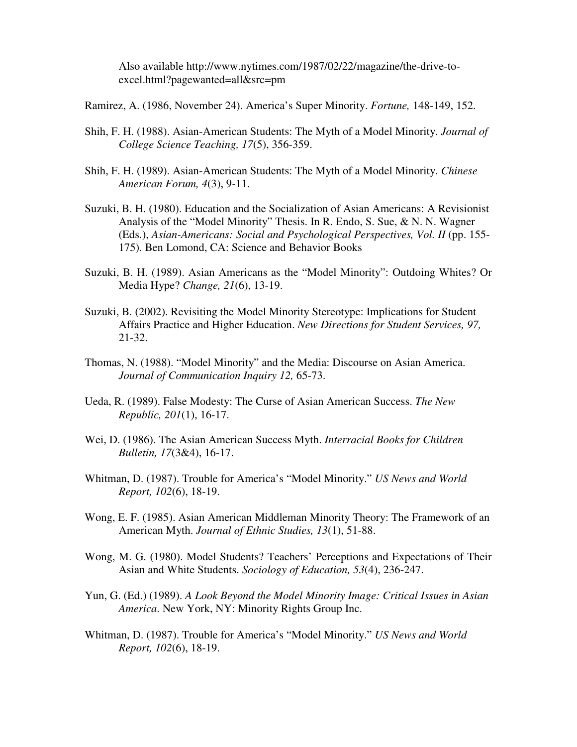Also available http://www.nytimes.com/1987/02/22/magazine/the-drive-to excel.html?pagewanted=all&src=pm

Ramirez, A. (1986, November 24). America's Super Minority. *Fortune,* 148-149, 152.

- Shih, F. H. (1988). Asian-American Students: The Myth of a Model Minority. *Journal of College Science Teaching, 17*(5), 356-359.
- Shih, F. H. (1989). Asian-American Students: The Myth of a Model Minority. *Chinese American Forum, 4*(3), 9-11.
- Suzuki, B. H. (1980). Education and the Socialization of Asian Americans: A Revisionist Analysis of the "Model Minority" Thesis. In R. Endo, S. Sue, & N. N. Wagner (Eds.), *Asian-Americans: Social and Psychological Perspectives, Vol. II* (pp. 155-175). Ben Lomond, CA: Science and Behavior Books
- Suzuki, B. H. (1989). Asian Americans as the "Model Minority": Outdoing Whites? Or Media Hype? *Change, 21*(6), 13-19.
- Suzuki, B. (2002). Revisiting the Model Minority Stereotype: Implications for Student Affairs Practice and Higher Education. *New Directions for Student Services, 97,*  21-32.
- Thomas, N. (1988). "Model Minority" and the Media: Discourse on Asian America. *Journal of Communication Inquiry 12,* 65-73.
- Ueda, R. (1989). False Modesty: The Curse of Asian American Success. *The New Republic, 201*(1), 16-17.
- Wei, D. (1986). The Asian American Success Myth. *Interracial Books for Children Bulletin, 17*(3&4), 16-17.
- Whitman, D. (1987). Trouble for America's "Model Minority." *US News and World Report, 102*(6), 18-19.
- Wong, E. F. (1985). Asian American Middleman Minority Theory: The Framework of an American Myth. *Journal of Ethnic Studies, 13*(1), 51-88.
- Wong, M. G. (1980). Model Students? Teachers' Perceptions and Expectations of Their Asian and White Students. *Sociology of Education, 53*(4), 236-247.
- Yun, G. (Ed.) (1989). *A Look Beyond the Model Minority Image: Critical Issues in Asian America*. New York, NY: Minority Rights Group Inc.
- Whitman, D. (1987). Trouble for America's "Model Minority." *US News and World Report, 102*(6), 18-19.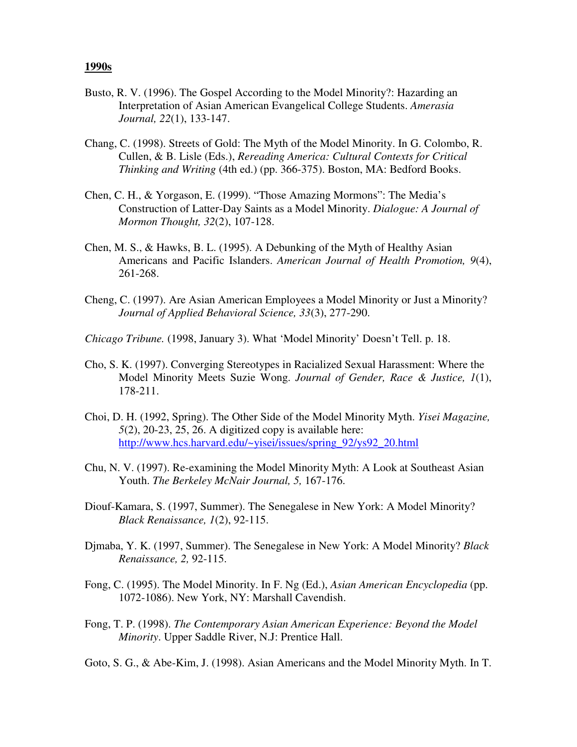#### **1990s**

- Busto, R. V. (1996). The Gospel According to the Model Minority?: Hazarding an Interpretation of Asian American Evangelical College Students. *Amerasia Journal, 22*(1), 133-147.
- Chang, C. (1998). Streets of Gold: The Myth of the Model Minority. In G. Colombo, R. Cullen, & B. Lisle (Eds.), *Rereading America: Cultural Contexts for Critical Thinking and Writing* (4th ed.) (pp. 366-375). Boston, MA: Bedford Books.
- Chen, C. H., & Yorgason, E. (1999). "Those Amazing Mormons": The Media's Construction of Latter-Day Saints as a Model Minority. *Dialogue: A Journal of Mormon Thought, 32*(2), 107-128.
- Chen, M. S., & Hawks, B. L. (1995). A Debunking of the Myth of Healthy Asian Americans and Pacific Islanders. *American Journal of Health Promotion, 9*(4), 261-268.
- Cheng, C. (1997). Are Asian American Employees a Model Minority or Just a Minority? *Journal of Applied Behavioral Science, 33*(3), 277-290.
- *Chicago Tribune.* (1998, January 3). What 'Model Minority' Doesn't Tell. p. 18.
- Cho, S. K. (1997). Converging Stereotypes in Racialized Sexual Harassment: Where the Model Minority Meets Suzie Wong. *Journal of Gender, Race & Justice, 1*(1), 178-211.
- Choi, D. H. (1992, Spring). The Other Side of the Model Minority Myth. *Yisei Magazine, 5*(2), 20-23, 25, 26. A digitized copy is available here: http://www.hcs.harvard.edu/~yisei/issues/spring\_92/ys92\_20.html
- Chu, N. V. (1997). Re-examining the Model Minority Myth: A Look at Southeast Asian Youth. *The Berkeley McNair Journal, 5,* 167-176.
- Diouf-Kamara, S. (1997, Summer). The Senegalese in New York: A Model Minority? *Black Renaissance, 1*(2), 92-115.
- Djmaba, Y. K. (1997, Summer). The Senegalese in New York: A Model Minority? *Black Renaissance, 2,* 92-115.
- Fong, C. (1995). The Model Minority. In F. Ng (Ed.), *Asian American Encyclopedia* (pp. 1072-1086). New York, NY: Marshall Cavendish.
- Fong, T. P. (1998). *The Contemporary Asian American Experience: Beyond the Model Minority*. Upper Saddle River, N.J: Prentice Hall.
- Goto, S. G., & Abe-Kim, J. (1998). Asian Americans and the Model Minority Myth. In T.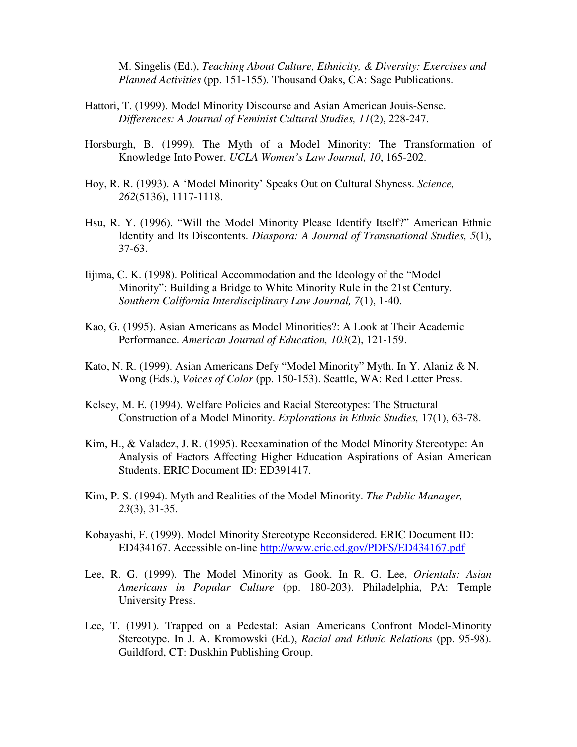M. Singelis (Ed.), *Teaching About Culture, Ethnicity, & Diversity: Exercises and Planned Activities* (pp. 151-155). Thousand Oaks, CA: Sage Publications.

- Hattori, T. (1999). Model Minority Discourse and Asian American Jouis-Sense. *Differences: A Journal of Feminist Cultural Studies, 11*(2), 228-247.
- Horsburgh, B. (1999). The Myth of a Model Minority: The Transformation of Knowledge Into Power. *UCLA Women's Law Journal, 10*, 165-202.
- Hoy, R. R. (1993). A 'Model Minority' Speaks Out on Cultural Shyness. *Science, 262*(5136), 1117-1118.
- Hsu, R. Y. (1996). "Will the Model Minority Please Identify Itself?" American Ethnic Identity and Its Discontents. *Diaspora: A Journal of Transnational Studies, 5*(1), 37-63.
- Iijima, C. K. (1998). Political Accommodation and the Ideology of the "Model Minority": Building a Bridge to White Minority Rule in the 21st Century. *Southern California Interdisciplinary Law Journal, 7*(1), 1-40.
- Kao, G. (1995). Asian Americans as Model Minorities?: A Look at Their Academic Performance. *American Journal of Education, 103*(2), 121-159.
- Kato, N. R. (1999). Asian Americans Defy "Model Minority" Myth. In Y. Alaniz & N. Wong (Eds.), *Voices of Color* (pp. 150-153). Seattle, WA: Red Letter Press.
- Kelsey, M. E. (1994). Welfare Policies and Racial Stereotypes: The Structural Construction of a Model Minority. *Explorations in Ethnic Studies,* 17(1), 63-78.
- Kim, H., & Valadez, J. R. (1995). Reexamination of the Model Minority Stereotype: An Analysis of Factors Affecting Higher Education Aspirations of Asian American Students. ERIC Document ID: ED391417.
- Kim, P. S. (1994). Myth and Realities of the Model Minority. *The Public Manager, 23*(3), 31-35.
- Kobayashi, F. (1999). Model Minority Stereotype Reconsidered. ERIC Document ID: ED434167. Accessible on-line http://www.eric.ed.gov/PDFS/ED434167.pdf
- Lee, R. G. (1999). The Model Minority as Gook. In R. G. Lee, *Orientals: Asian Americans in Popular Culture* (pp. 180-203). Philadelphia, PA: Temple University Press.
- Lee, T. (1991). Trapped on a Pedestal: Asian Americans Confront Model-Minority Stereotype. In J. A. Kromowski (Ed.), *Racial and Ethnic Relations* (pp. 95-98). Guildford, CT: Duskhin Publishing Group.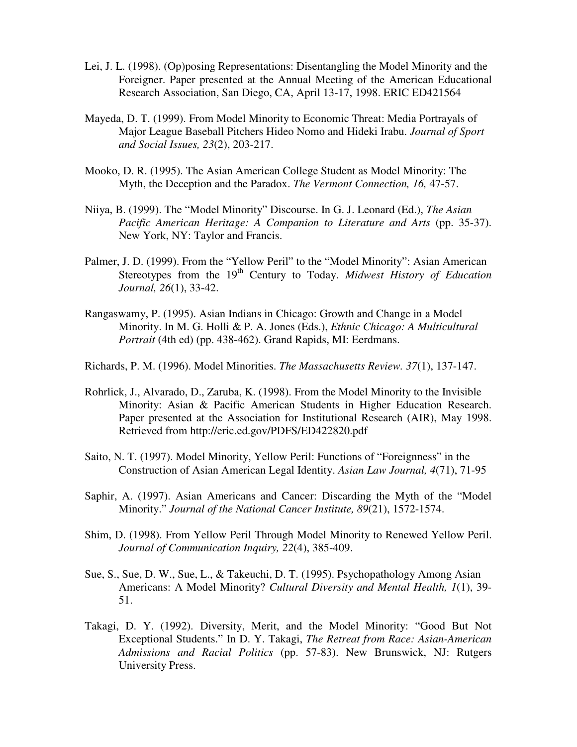- Lei, J. L. (1998). (Op)posing Representations: Disentangling the Model Minority and the Foreigner. Paper presented at the Annual Meeting of the American Educational Research Association, San Diego, CA, April 13-17, 1998. ERIC ED421564
- Mayeda, D. T. (1999). From Model Minority to Economic Threat: Media Portrayals of Major League Baseball Pitchers Hideo Nomo and Hideki Irabu. *Journal of Sport and Social Issues, 23*(2), 203-217.
- Mooko, D. R. (1995). The Asian American College Student as Model Minority: The Myth, the Deception and the Paradox. *The Vermont Connection, 16,* 47-57.
- Niiya, B. (1999). The "Model Minority" Discourse. In G. J. Leonard (Ed.), *The Asian Pacific American Heritage: A Companion to Literature and Arts (pp. 35-37).* New York, NY: Taylor and Francis.
- Palmer, J. D. (1999). From the "Yellow Peril" to the "Model Minority": Asian American Stereotypes from the 19<sup>th</sup> Century to Today. *Midwest History of Education Journal, 26*(1), 33-42.
- Rangaswamy, P. (1995). Asian Indians in Chicago: Growth and Change in a Model Minority. In M. G. Holli & P. A. Jones (Eds.), *Ethnic Chicago: A Multicultural Portrait* (4th ed) (pp. 438-462). Grand Rapids, MI: Eerdmans.
- Richards, P. M. (1996). Model Minorities. *The Massachusetts Review. 37*(1), 137-147.
- Rohrlick, J., Alvarado, D., Zaruba, K. (1998). From the Model Minority to the Invisible Minority: Asian & Pacific American Students in Higher Education Research. Paper presented at the Association for Institutional Research (AIR), May 1998. Retrieved from http://eric.ed.gov/PDFS/ED422820.pdf
- Saito, N. T. (1997). Model Minority, Yellow Peril: Functions of "Foreignness" in the Construction of Asian American Legal Identity. *Asian Law Journal, 4*(71), 71-95
- Saphir, A. (1997). Asian Americans and Cancer: Discarding the Myth of the "Model Minority." *Journal of the National Cancer Institute, 89*(21), 1572-1574.
- Shim, D. (1998). From Yellow Peril Through Model Minority to Renewed Yellow Peril. *Journal of Communication Inquiry, 22*(4), 385-409.
- Sue, S., Sue, D. W., Sue, L., & Takeuchi, D. T. (1995). Psychopathology Among Asian Americans: A Model Minority? *Cultural Diversity and Mental Health, 1*(1), 39- 51.
- Takagi, D. Y. (1992). Diversity, Merit, and the Model Minority: "Good But Not Exceptional Students." In D. Y. Takagi, *The Retreat from Race: Asian-American Admissions and Racial Politics* (pp. 57-83). New Brunswick, NJ: Rutgers University Press.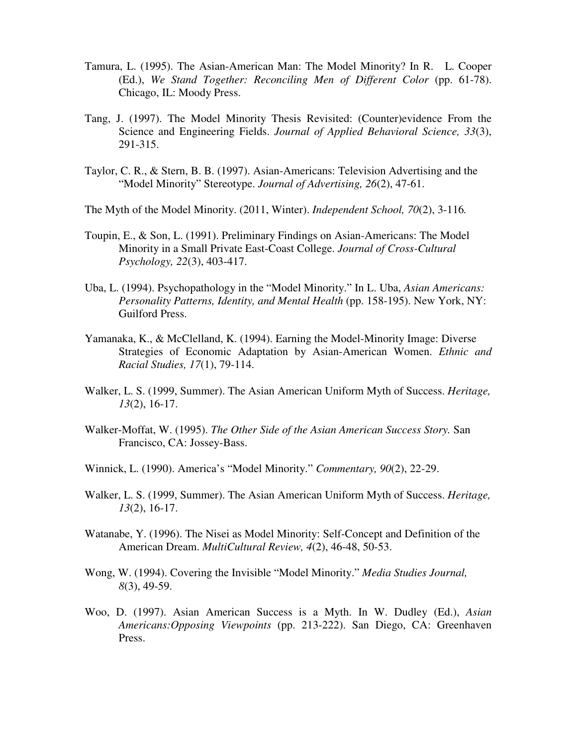- Tamura, L. (1995). The Asian-American Man: The Model Minority? In R. L. Cooper (Ed.), *We Stand Together: Reconciling Men of Different Color* (pp. 61-78). Chicago, IL: Moody Press.
- Tang, J. (1997). The Model Minority Thesis Revisited: (Counter)evidence From the Science and Engineering Fields. *Journal of Applied Behavioral Science, 33*(3), 291-315.
- Taylor, C. R., & Stern, B. B. (1997). Asian-Americans: Television Advertising and the "Model Minority" Stereotype. *Journal of Advertising, 26*(2), 47-61.
- The Myth of the Model Minority. (2011, Winter). *Independent School, 70*(2), 3-116*.*
- Toupin, E., & Son, L. (1991). Preliminary Findings on Asian-Americans: The Model Minority in a Small Private East-Coast College. *Journal of Cross-Cultural Psychology, 22*(3), 403-417.
- Uba, L. (1994). Psychopathology in the "Model Minority." In L. Uba, *Asian Americans: Personality Patterns, Identity, and Mental Health (pp. 158-195). New York, NY:* Guilford Press.
- Yamanaka, K., & McClelland, K. (1994). Earning the Model-Minority Image: Diverse Strategies of Economic Adaptation by Asian-American Women. *Ethnic and Racial Studies, 17*(1), 79-114.
- Walker, L. S. (1999, Summer). The Asian American Uniform Myth of Success. *Heritage, 13*(2), 16-17.
- Walker-Moffat, W. (1995). *The Other Side of the Asian American Success Story.* San Francisco, CA: Jossey-Bass.
- Winnick, L. (1990). America's "Model Minority." *Commentary, 90*(2), 22-29.
- Walker, L. S. (1999, Summer). The Asian American Uniform Myth of Success. *Heritage, 13*(2), 16-17.
- Watanabe, Y. (1996). The Nisei as Model Minority: Self-Concept and Definition of the American Dream. *MultiCultural Review, 4*(2), 46-48, 50-53.
- Wong, W. (1994). Covering the Invisible "Model Minority." *Media Studies Journal, 8*(3), 49-59.
- Woo, D. (1997). Asian American Success is a Myth. In W. Dudley (Ed.), *Asian Americans:Opposing Viewpoints* (pp. 213-222). San Diego, CA: Greenhaven Press.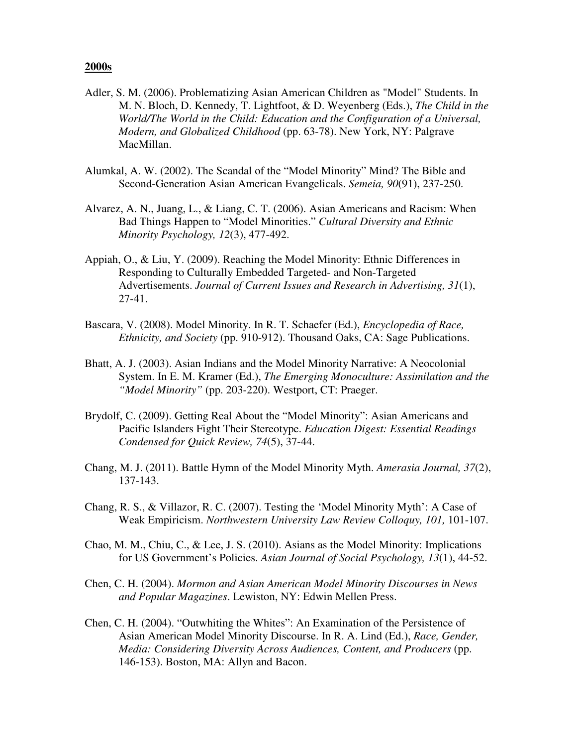# **2000s**

- Adler, S. M. (2006). Problematizing Asian American Children as "Model" Students. In M. N. Bloch, D. Kennedy, T. Lightfoot, & D. Weyenberg (Eds.), *The Child in the World/The World in the Child: Education and the Configuration of a Universal, Modern, and Globalized Childhood* (pp. 63-78). New York, NY: Palgrave MacMillan.
- Alumkal, A. W. (2002). The Scandal of the "Model Minority" Mind? The Bible and Second-Generation Asian American Evangelicals. *Semeia, 90*(91), 237-250.
- Alvarez, A. N., Juang, L., & Liang, C. T. (2006). Asian Americans and Racism: When Bad Things Happen to "Model Minorities." *Cultural Diversity and Ethnic Minority Psychology, 12*(3), 477-492.
- Appiah, O., & Liu, Y. (2009). Reaching the Model Minority: Ethnic Differences in Responding to Culturally Embedded Targeted- and Non-Targeted Advertisements. *Journal of Current Issues and Research in Advertising, 31*(1), 27-41.
- Bascara, V. (2008). Model Minority. In R. T. Schaefer (Ed.), *Encyclopedia of Race, Ethnicity, and Society* (pp. 910-912). Thousand Oaks, CA: Sage Publications.
- Bhatt, A. J. (2003). Asian Indians and the Model Minority Narrative: A Neocolonial System. In E. M. Kramer (Ed.), *The Emerging Monoculture: Assimilation and the "Model Minority"* (pp. 203-220). Westport, CT: Praeger.
- Brydolf, C. (2009). Getting Real About the "Model Minority": Asian Americans and Pacific Islanders Fight Their Stereotype. *Education Digest: Essential Readings Condensed for Quick Review, 74*(5), 37-44.
- Chang, M. J. (2011). Battle Hymn of the Model Minority Myth. *Amerasia Journal, 37*(2), 137-143.
- Chang, R. S., & Villazor, R. C. (2007). Testing the 'Model Minority Myth': A Case of Weak Empiricism. *Northwestern University Law Review Colloquy, 101,* 101-107.
- Chao, M. M., Chiu, C., & Lee, J. S. (2010). Asians as the Model Minority: Implications for US Government's Policies. *Asian Journal of Social Psychology, 13*(1), 44-52.
- Chen, C. H. (2004). *Mormon and Asian American Model Minority Discourses in News and Popular Magazines*. Lewiston, NY: Edwin Mellen Press.
- Chen, C. H. (2004). "Outwhiting the Whites": An Examination of the Persistence of Asian American Model Minority Discourse. In R. A. Lind (Ed.), *Race, Gender, Media: Considering Diversity Across Audiences, Content, and Producers* (pp. 146-153). Boston, MA: Allyn and Bacon.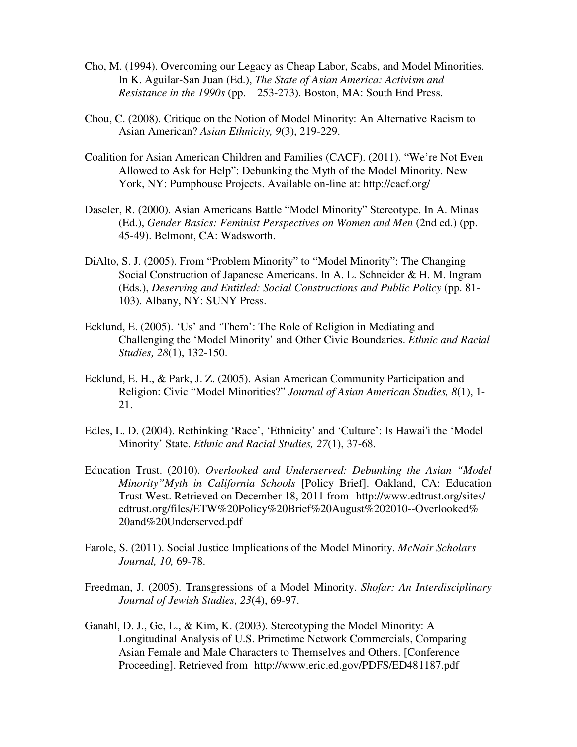- Cho, M. (1994). Overcoming our Legacy as Cheap Labor, Scabs, and Model Minorities. In K. Aguilar-San Juan (Ed.), *The State of Asian America: Activism and Resistance in the 1990s* (pp. 253-273). Boston, MA: South End Press.
- Chou, C. (2008). Critique on the Notion of Model Minority: An Alternative Racism to Asian American? *Asian Ethnicity, 9*(3), 219-229.
- Coalition for Asian American Children and Families (CACF). (2011). "We're Not Even Allowed to Ask for Help": Debunking the Myth of the Model Minority. New York, NY: Pumphouse Projects. Available on-line at: http://cacf.org/
- Daseler, R. (2000). Asian Americans Battle "Model Minority" Stereotype. In A. Minas (Ed.), *Gender Basics: Feminist Perspectives on Women and Men* (2nd ed.) (pp. 45-49). Belmont, CA: Wadsworth.
- DiAlto, S. J. (2005). From "Problem Minority" to "Model Minority": The Changing Social Construction of Japanese Americans. In A. L. Schneider & H. M. Ingram (Eds.), *Deserving and Entitled: Social Constructions and Public Policy* (pp. 81- 103). Albany, NY: SUNY Press.
- Ecklund, E. (2005). 'Us' and 'Them': The Role of Religion in Mediating and Challenging the 'Model Minority' and Other Civic Boundaries. *Ethnic and Racial Studies, 28*(1), 132-150.
- Ecklund, E. H., & Park, J. Z. (2005). Asian American Community Participation and Religion: Civic "Model Minorities?" *Journal of Asian American Studies, 8*(1), 1- 21.
- Edles, L. D. (2004). Rethinking 'Race', 'Ethnicity' and 'Culture': Is Hawai'i the 'Model Minority' State. *Ethnic and Racial Studies, 27*(1), 37-68.
- Education Trust. (2010). *Overlooked and Underserved: Debunking the Asian "Model Minority"Myth in California Schools* [Policy Brief]. Oakland, CA: Education Trust West. Retrieved on December 18, 2011 from http://www.edtrust.org/sites/ edtrust.org/files/ETW%20Policy%20Brief%20August%202010--Overlooked% 20and%20Underserved.pdf
- Farole, S. (2011). Social Justice Implications of the Model Minority. *McNair Scholars Journal, 10,* 69-78.
- Freedman, J. (2005). Transgressions of a Model Minority. *Shofar: An Interdisciplinary Journal of Jewish Studies, 23*(4), 69-97.
- Ganahl, D. J., Ge, L., & Kim, K. (2003). Stereotyping the Model Minority: A Longitudinal Analysis of U.S. Primetime Network Commercials, Comparing Asian Female and Male Characters to Themselves and Others. [Conference Proceeding]. Retrieved from http://www.eric.ed.gov/PDFS/ED481187.pdf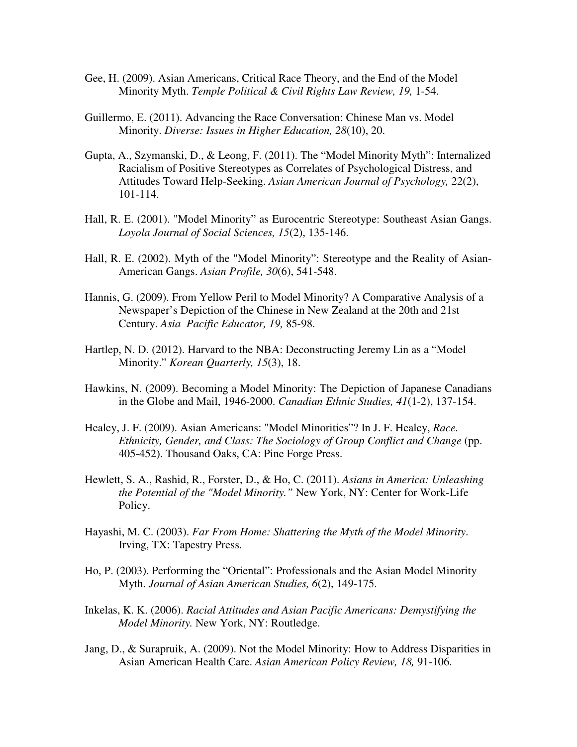- Gee, H. (2009). Asian Americans, Critical Race Theory, and the End of the Model Minority Myth. *Temple Political & Civil Rights Law Review, 19,* 1-54.
- Guillermo, E. (2011). Advancing the Race Conversation: Chinese Man vs. Model Minority. *Diverse: Issues in Higher Education, 28*(10), 20.
- Gupta, A., Szymanski, D., & Leong, F. (2011). The "Model Minority Myth": Internalized Racialism of Positive Stereotypes as Correlates of Psychological Distress, and Attitudes Toward Help-Seeking. *Asian American Journal of Psychology,* 22(2), 101-114.
- Hall, R. E. (2001). "Model Minority" as Eurocentric Stereotype: Southeast Asian Gangs. *Loyola Journal of Social Sciences, 15*(2), 135-146.
- Hall, R. E. (2002). Myth of the "Model Minority": Stereotype and the Reality of Asian-American Gangs. *Asian Profile, 30*(6), 541-548.
- Hannis, G. (2009). From Yellow Peril to Model Minority? A Comparative Analysis of a Newspaper's Depiction of the Chinese in New Zealand at the 20th and 21st Century. *Asia Pacific Educator, 19,* 85-98.
- Hartlep, N. D. (2012). Harvard to the NBA: Deconstructing Jeremy Lin as a "Model Minority." *Korean Quarterly, 15*(3), 18.
- Hawkins, N. (2009). Becoming a Model Minority: The Depiction of Japanese Canadians in the Globe and Mail, 1946-2000. *Canadian Ethnic Studies, 41*(1-2), 137-154.
- Healey, J. F. (2009). Asian Americans: "Model Minorities"? In J. F. Healey, *Race. Ethnicity, Gender, and Class: The Sociology of Group Conflict and Change (pp.* 405-452). Thousand Oaks, CA: Pine Forge Press.
- Hewlett, S. A., Rashid, R., Forster, D., & Ho, C. (2011). *Asians in America: Unleashing the Potential of the "Model Minority."* New York, NY: Center for Work-Life Policy.
- Hayashi, M. C. (2003). *Far From Home: Shattering the Myth of the Model Minority*. Irving, TX: Tapestry Press.
- Ho, P. (2003). Performing the "Oriental": Professionals and the Asian Model Minority Myth. *Journal of Asian American Studies, 6*(2), 149-175.
- Inkelas, K. K. (2006). *Racial Attitudes and Asian Pacific Americans: Demystifying the Model Minority.* New York, NY: Routledge.
- Jang, D., & Surapruik, A. (2009). Not the Model Minority: How to Address Disparities in Asian American Health Care. *Asian American Policy Review, 18,* 91-106.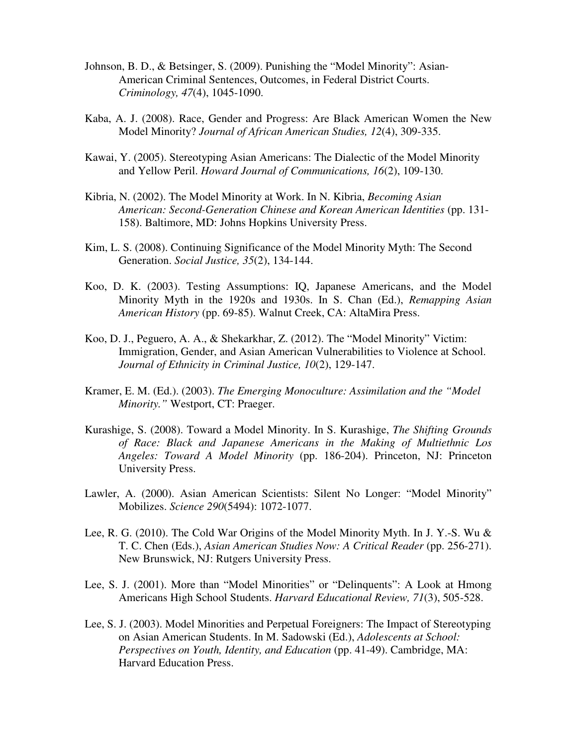- Johnson, B. D., & Betsinger, S. (2009). Punishing the "Model Minority": Asian- American Criminal Sentences, Outcomes, in Federal District Courts. *Criminology, 47*(4), 1045-1090.
- Kaba, A. J. (2008). Race, Gender and Progress: Are Black American Women the New Model Minority? *Journal of African American Studies, 12*(4), 309-335.
- Kawai, Y. (2005). Stereotyping Asian Americans: The Dialectic of the Model Minority and Yellow Peril. *Howard Journal of Communications, 16*(2), 109-130.
- Kibria, N. (2002). The Model Minority at Work. In N. Kibria, *Becoming Asian American: Second-Generation Chinese and Korean American Identities* (pp. 131- 158). Baltimore, MD: Johns Hopkins University Press.
- Kim, L. S. (2008). Continuing Significance of the Model Minority Myth: The Second Generation. *Social Justice, 35*(2), 134-144.
- Koo, D. K. (2003). Testing Assumptions: IQ, Japanese Americans, and the Model Minority Myth in the 1920s and 1930s. In S. Chan (Ed.), *Remapping Asian American History* (pp. 69-85). Walnut Creek, CA: AltaMira Press.
- Koo, D. J., Peguero, A. A., & Shekarkhar, Z. (2012). The "Model Minority" Victim: Immigration, Gender, and Asian American Vulnerabilities to Violence at School. *Journal of Ethnicity in Criminal Justice, 10*(2), 129-147.
- Kramer, E. M. (Ed.). (2003). *The Emerging Monoculture: Assimilation and the "Model Minority."* Westport, CT: Praeger.
- Kurashige, S. (2008). Toward a Model Minority. In S. Kurashige, *The Shifting Grounds of Race: Black and Japanese Americans in the Making of Multiethnic Los Angeles: Toward A Model Minority* (pp. 186-204). Princeton, NJ: Princeton University Press.
- Lawler, A. (2000). Asian American Scientists: Silent No Longer: "Model Minority" Mobilizes. *Science 290*(5494): 1072-1077.
- Lee, R. G. (2010). The Cold War Origins of the Model Minority Myth. In J. Y.-S. Wu & T. C. Chen (Eds.), *Asian American Studies Now: A Critical Reader* (pp. 256-271). New Brunswick, NJ: Rutgers University Press.
- Lee, S. J. (2001). More than "Model Minorities" or "Delinquents": A Look at Hmong Americans High School Students. *Harvard Educational Review, 71*(3), 505-528.
- Lee, S. J. (2003). Model Minorities and Perpetual Foreigners: The Impact of Stereotyping on Asian American Students. In M. Sadowski (Ed.), *Adolescents at School: Perspectives on Youth, Identity, and Education (pp. 41-49). Cambridge, MA:* Harvard Education Press.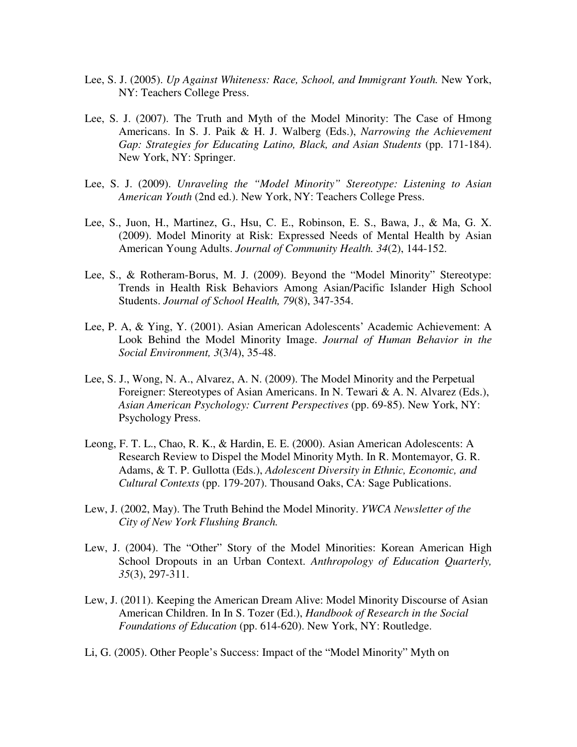- Lee, S. J. (2005). *Up Against Whiteness: Race, School, and Immigrant Youth.* New York, NY: Teachers College Press.
- Lee, S. J. (2007). The Truth and Myth of the Model Minority: The Case of Hmong Americans. In S. J. Paik & H. J. Walberg (Eds.), *Narrowing the Achievement Gap: Strategies for Educating Latino, Black, and Asian Students (pp. 171-184).* New York, NY: Springer.
- Lee, S. J. (2009). *Unraveling the "Model Minority" Stereotype: Listening to Asian American Youth* (2nd ed.). New York, NY: Teachers College Press.
- Lee, S., Juon, H., Martinez, G., Hsu, C. E., Robinson, E. S., Bawa, J., & Ma, G. X. (2009). Model Minority at Risk: Expressed Needs of Mental Health by Asian American Young Adults. *Journal of Community Health. 34*(2), 144-152.
- Lee, S., & Rotheram-Borus, M. J. (2009). Beyond the "Model Minority" Stereotype: Trends in Health Risk Behaviors Among Asian/Pacific Islander High School Students. *Journal of School Health, 79*(8), 347-354.
- Lee, P. A, & Ying, Y. (2001). Asian American Adolescents' Academic Achievement: A Look Behind the Model Minority Image. *Journal of Human Behavior in the Social Environment, 3*(3/4), 35-48.
- Lee, S. J., Wong, N. A., Alvarez, A. N. (2009). The Model Minority and the Perpetual Foreigner: Stereotypes of Asian Americans. In N. Tewari & A. N. Alvarez (Eds.), *Asian American Psychology: Current Perspectives* (pp. 69-85). New York, NY: Psychology Press.
- Leong, F. T. L., Chao, R. K., & Hardin, E. E. (2000). Asian American Adolescents: A Research Review to Dispel the Model Minority Myth. In R. Montemayor, G. R. Adams, & T. P. Gullotta (Eds.), *Adolescent Diversity in Ethnic, Economic, and Cultural Contexts* (pp. 179-207). Thousand Oaks, CA: Sage Publications.
- Lew, J. (2002, May). The Truth Behind the Model Minority. *YWCA Newsletter of the City of New York Flushing Branch.*
- Lew, J. (2004). The "Other" Story of the Model Minorities: Korean American High School Dropouts in an Urban Context. *Anthropology of Education Quarterly, 35*(3), 297-311.
- Lew, J. (2011). Keeping the American Dream Alive: Model Minority Discourse of Asian American Children. In In S. Tozer (Ed.), *Handbook of Research in the Social Foundations of Education* (pp. 614-620). New York, NY: Routledge.
- Li, G. (2005). Other People's Success: Impact of the "Model Minority" Myth on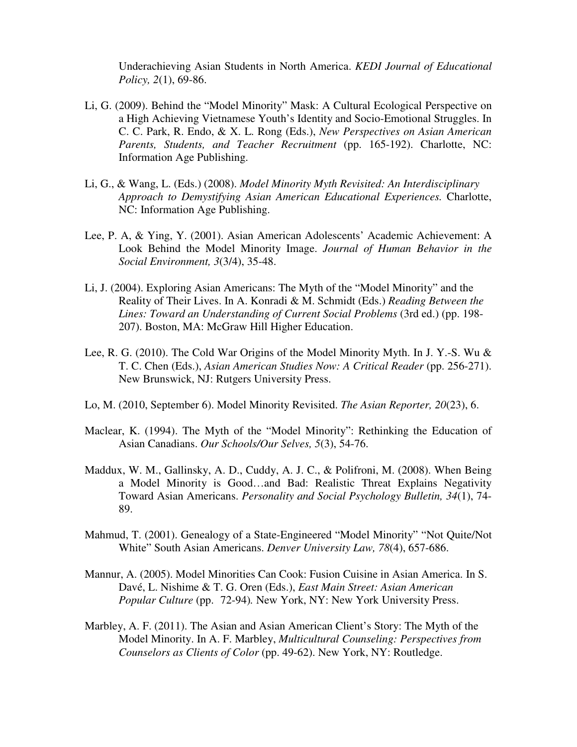Underachieving Asian Students in North America. *KEDI Journal of Educational Policy, 2*(1), 69-86.

- Li, G. (2009). Behind the "Model Minority" Mask: A Cultural Ecological Perspective on a High Achieving Vietnamese Youth's Identity and Socio-Emotional Struggles. In C. C. Park, R. Endo, & X. L. Rong (Eds.), *New Perspectives on Asian American Parents, Students, and Teacher Recruitment* (pp. 165-192). Charlotte, NC: Information Age Publishing.
- Li, G., & Wang, L. (Eds.) (2008). *Model Minority Myth Revisited: An Interdisciplinary Approach to Demystifying Asian American Educational Experiences.* Charlotte, NC: Information Age Publishing.
- Lee, P. A, & Ying, Y. (2001). Asian American Adolescents' Academic Achievement: A Look Behind the Model Minority Image. *Journal of Human Behavior in the Social Environment, 3*(3/4), 35-48.
- Li, J. (2004). Exploring Asian Americans: The Myth of the "Model Minority" and the Reality of Their Lives. In A. Konradi & M. Schmidt (Eds.) *Reading Between the Lines: Toward an Understanding of Current Social Problems* (3rd ed.) (pp. 198- 207). Boston, MA: McGraw Hill Higher Education.
- Lee, R. G. (2010). The Cold War Origins of the Model Minority Myth. In J. Y.-S. Wu & T. C. Chen (Eds.), *Asian American Studies Now: A Critical Reader* (pp. 256-271). New Brunswick, NJ: Rutgers University Press.
- Lo, M. (2010, September 6). Model Minority Revisited. *The Asian Reporter, 20*(23), 6.
- Maclear, K. (1994). The Myth of the "Model Minority": Rethinking the Education of Asian Canadians. *Our Schools/Our Selves, 5*(3), 54-76.
- Maddux, W. M., Gallinsky, A. D., Cuddy, A. J. C., & Polifroni, M. (2008). When Being a Model Minority is Good…and Bad: Realistic Threat Explains Negativity Toward Asian Americans. *Personality and Social Psychology Bulletin, 34*(1), 74- 89.
- Mahmud, T. (2001). Genealogy of a State-Engineered "Model Minority" "Not Quite/Not White" South Asian Americans. *Denver University Law, 78*(4), 657-686.
- Mannur, A. (2005). Model Minorities Can Cook: Fusion Cuisine in Asian America. In S. Davé, L. Nishime & T. G. Oren (Eds.), *East Main Street: Asian American Popular Culture* (pp. 72-94)*.* New York, NY: New York University Press.
- Marbley, A. F. (2011). The Asian and Asian American Client's Story: The Myth of the Model Minority. In A. F. Marbley, *Multicultural Counseling: Perspectives from Counselors as Clients of Color* (pp. 49-62). New York, NY: Routledge.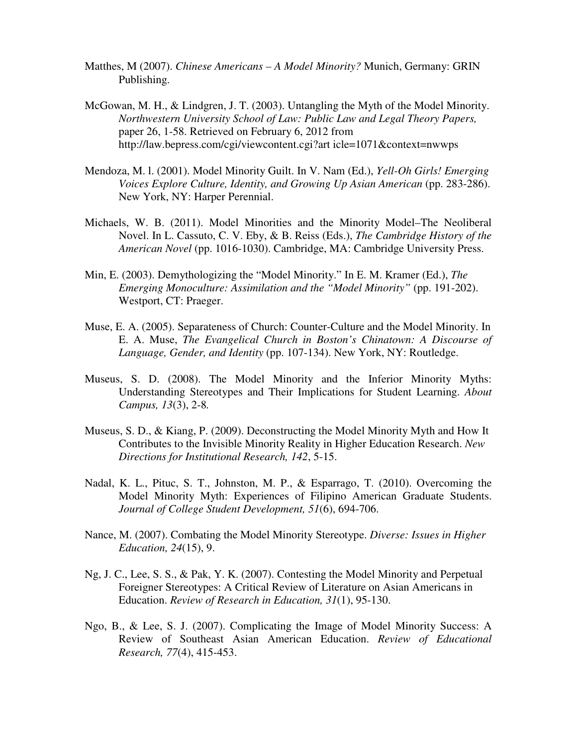- Matthes, M (2007). *Chinese Americans A Model Minority?* Munich, Germany: GRIN Publishing.
- McGowan, M. H., & Lindgren, J. T. (2003). Untangling the Myth of the Model Minority. *Northwestern University School of Law: Public Law and Legal Theory Papers,*  paper 26, 1-58. Retrieved on February 6, 2012 from http://law.bepress.com/cgi/viewcontent.cgi?art icle=1071&context=nwwps
- Mendoza, M. l. (2001). Model Minority Guilt. In V. Nam (Ed.), *Yell-Oh Girls! Emerging Voices Explore Culture, Identity, and Growing Up Asian American (pp. 283-286).* New York, NY: Harper Perennial.
- Michaels, W. B. (2011). Model Minorities and the Minority Model–The Neoliberal Novel. In L. Cassuto, C. V. Eby, & B. Reiss (Eds.), *The Cambridge History of the American Novel* (pp. 1016-1030). Cambridge, MA: Cambridge University Press.
- Min, E. (2003). Demythologizing the "Model Minority." In E. M. Kramer (Ed.), *The Emerging Monoculture: Assimilation and the "Model Minority" (pp. 191-202).* Westport, CT: Praeger.
- Muse, E. A. (2005). Separateness of Church: Counter-Culture and the Model Minority. In E. A. Muse, *The Evangelical Church in Boston's Chinatown: A Discourse of Language, Gender, and Identity* (pp. 107-134). New York, NY: Routledge.
- Museus, S. D. (2008). The Model Minority and the Inferior Minority Myths: Understanding Stereotypes and Their Implications for Student Learning. *About Campus, 13*(3), 2-8*.*
- Museus, S. D., & Kiang, P. (2009). Deconstructing the Model Minority Myth and How It Contributes to the Invisible Minority Reality in Higher Education Research. *New Directions for Institutional Research, 142*, 5-15.
- Nadal, K. L., Pituc, S. T., Johnston, M. P., & Esparrago, T. (2010). Overcoming the Model Minority Myth: Experiences of Filipino American Graduate Students. *Journal of College Student Development, 51*(6), 694-706.
- Nance, M. (2007). Combating the Model Minority Stereotype. *Diverse: Issues in Higher Education, 24*(15), 9.
- Ng, J. C., Lee, S. S., & Pak, Y. K. (2007). Contesting the Model Minority and Perpetual Foreigner Stereotypes: A Critical Review of Literature on Asian Americans in Education. *Review of Research in Education, 31*(1), 95-130.
- Ngo, B., & Lee, S. J. (2007). Complicating the Image of Model Minority Success: A Review of Southeast Asian American Education. *Review of Educational Research, 77*(4), 415-453.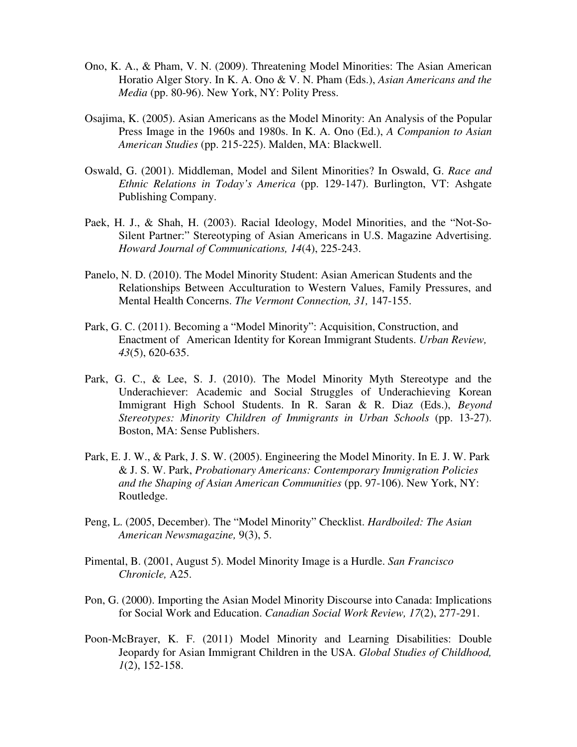- Ono, K. A., & Pham, V. N. (2009). Threatening Model Minorities: The Asian American Horatio Alger Story. In K. A. Ono & V. N. Pham (Eds.), *Asian Americans and the Media* (pp. 80-96). New York, NY: Polity Press.
- Osajima, K. (2005). Asian Americans as the Model Minority: An Analysis of the Popular Press Image in the 1960s and 1980s. In K. A. Ono (Ed.), *A Companion to Asian American Studies* (pp. 215-225). Malden, MA: Blackwell.
- Oswald, G. (2001). Middleman, Model and Silent Minorities? In Oswald, G. *Race and Ethnic Relations in Today's America* (pp. 129-147). Burlington, VT: Ashgate Publishing Company.
- Paek, H. J., & Shah, H. (2003). Racial Ideology, Model Minorities, and the "Not-So- Silent Partner:" Stereotyping of Asian Americans in U.S. Magazine Advertising. *Howard Journal of Communications, 14*(4), 225-243.
- Panelo, N. D. (2010). The Model Minority Student: Asian American Students and the Relationships Between Acculturation to Western Values, Family Pressures, and Mental Health Concerns. *The Vermont Connection, 31,* 147-155.
- Park, G. C. (2011). Becoming a "Model Minority": Acquisition, Construction, and Enactment of American Identity for Korean Immigrant Students. *Urban Review, 43*(5), 620-635.
- Park, G. C., & Lee, S. J. (2010). The Model Minority Myth Stereotype and the Underachiever: Academic and Social Struggles of Underachieving Korean Immigrant High School Students. In R. Saran & R. Diaz (Eds.), *Beyond Stereotypes: Minority Children of Immigrants in Urban Schools* (pp. 13-27). Boston, MA: Sense Publishers.
- Park, E. J. W., & Park, J. S. W. (2005). Engineering the Model Minority. In E. J. W. Park & J. S. W. Park, *Probationary Americans: Contemporary Immigration Policies and the Shaping of Asian American Communities* (pp. 97-106). New York, NY: Routledge.
- Peng, L. (2005, December). The "Model Minority" Checklist. *Hardboiled: The Asian American Newsmagazine,* 9(3), 5.
- Pimental, B. (2001, August 5). Model Minority Image is a Hurdle. *San Francisco Chronicle,* A25.
- Pon, G. (2000). Importing the Asian Model Minority Discourse into Canada: Implications for Social Work and Education. *Canadian Social Work Review, 17*(2), 277-291.
- Poon-McBrayer, K. F. (2011) Model Minority and Learning Disabilities: Double Jeopardy for Asian Immigrant Children in the USA. *Global Studies of Childhood, 1*(2), 152-158.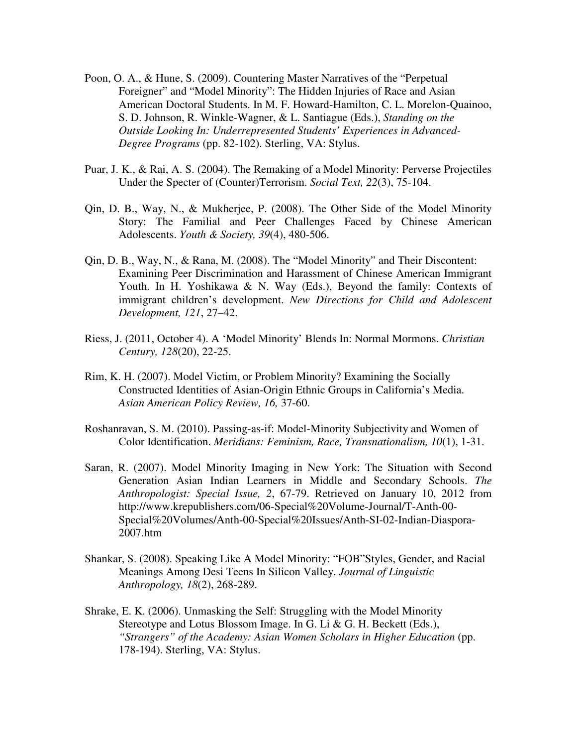- Poon, O. A., & Hune, S. (2009). Countering Master Narratives of the "Perpetual Foreigner" and "Model Minority": The Hidden Injuries of Race and Asian American Doctoral Students. In M. F. Howard-Hamilton, C. L. Morelon-Quainoo, S. D. Johnson, R. Winkle-Wagner, & L. Santiague (Eds.), *Standing on the Outside Looking In: Underrepresented Students' Experiences in Advanced- Degree Programs* (pp. 82-102). Sterling, VA: Stylus.
- Puar, J. K., & Rai, A. S. (2004). The Remaking of a Model Minority: Perverse Projectiles Under the Specter of (Counter)Terrorism. *Social Text, 22*(3), 75-104.
- Qin, D. B., Way, N., & Mukherjee, P. (2008). The Other Side of the Model Minority Story: The Familial and Peer Challenges Faced by Chinese American Adolescents. *Youth & Society, 39*(4), 480-506.
- Qin, D. B., Way, N., & Rana, M. (2008). The "Model Minority" and Their Discontent: Examining Peer Discrimination and Harassment of Chinese American Immigrant Youth. In H. Yoshikawa & N. Way (Eds.), Beyond the family: Contexts of immigrant children's development. *New Directions for Child and Adolescent Development, 121*, 27–42.
- Riess, J. (2011, October 4). A 'Model Minority' Blends In: Normal Mormons. *Christian Century, 128*(20), 22-25.
- Rim, K. H. (2007). Model Victim, or Problem Minority? Examining the Socially Constructed Identities of Asian-Origin Ethnic Groups in California's Media. *Asian American Policy Review, 16,* 37-60.
- Roshanravan, S. M. (2010). Passing-as-if: Model-Minority Subjectivity and Women of Color Identification. *Meridians: Feminism, Race, Transnationalism, 10*(1), 1-31.
- Saran, R. (2007). Model Minority Imaging in New York: The Situation with Second Generation Asian Indian Learners in Middle and Secondary Schools. *The Anthropologist: Special Issue, 2*, 67-79. Retrieved on January 10, 2012 from http://www.krepublishers.com/06-Special%20Volume-Journal/T-Anth-00- Special%20Volumes/Anth-00-Special%20Issues/Anth-SI-02-Indian-Diaspora- 2007.htm
- Shankar, S. (2008). Speaking Like A Model Minority: "FOB"Styles, Gender, and Racial Meanings Among Desi Teens In Silicon Valley. *Journal of Linguistic Anthropology, 18*(2), 268-289.
- Shrake, E. K. (2006). Unmasking the Self: Struggling with the Model Minority Stereotype and Lotus Blossom Image. In G. Li & G. H. Beckett (Eds.), "Strangers" of the Academy: Asian Women Scholars in Higher Education (pp. 178-194). Sterling, VA: Stylus.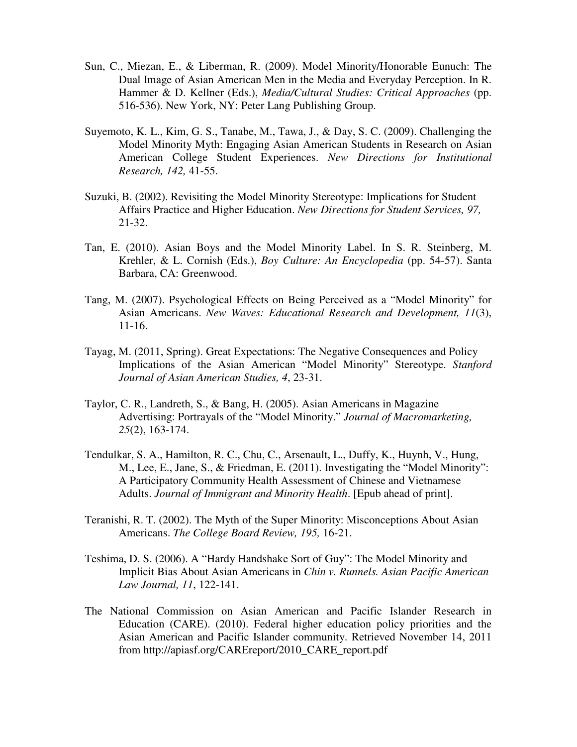- Sun, C., Miezan, E., & Liberman, R. (2009). Model Minority/Honorable Eunuch: The Dual Image of Asian American Men in the Media and Everyday Perception. In R. Hammer & D. Kellner (Eds.), *Media/Cultural Studies: Critical Approaches* (pp. 516-536). New York, NY: Peter Lang Publishing Group.
- Suyemoto, K. L., Kim, G. S., Tanabe, M., Tawa, J., & Day, S. C. (2009). Challenging the Model Minority Myth: Engaging Asian American Students in Research on Asian American College Student Experiences. *New Directions for Institutional Research, 142,* 41-55.
- Suzuki, B. (2002). Revisiting the Model Minority Stereotype: Implications for Student Affairs Practice and Higher Education. *New Directions for Student Services, 97,*  21-32.
- Tan, E. (2010). Asian Boys and the Model Minority Label. In S. R. Steinberg, M. Krehler, & L. Cornish (Eds.), *Boy Culture: An Encyclopedia* (pp. 54-57). Santa Barbara, CA: Greenwood.
- Tang, M. (2007). Psychological Effects on Being Perceived as a "Model Minority" for Asian Americans. *New Waves: Educational Research and Development, 11*(3), 11-16.
- Tayag, M. (2011, Spring). Great Expectations: The Negative Consequences and Policy Implications of the Asian American "Model Minority" Stereotype. *Stanford Journal of Asian American Studies, 4*, 23-31.
- Taylor, C. R., Landreth, S., & Bang, H. (2005). Asian Americans in Magazine Advertising: Portrayals of the "Model Minority." *Journal of Macromarketing, 25*(2), 163-174.
- Tendulkar, S. A., Hamilton, R. C., Chu, C., Arsenault, L., Duffy, K., Huynh, V., Hung, M., Lee, E., Jane, S., & Friedman, E. (2011). Investigating the "Model Minority": A Participatory Community Health Assessment of Chinese and Vietnamese Adults. *Journal of Immigrant and Minority Health*. [Epub ahead of print].
- Teranishi, R. T. (2002). The Myth of the Super Minority: Misconceptions About Asian Americans. *The College Board Review, 195,* 16-21.
- Teshima, D. S. (2006). A "Hardy Handshake Sort of Guy": The Model Minority and Implicit Bias About Asian Americans in *Chin v. Runnels. Asian Pacific American Law Journal, 11*, 122-141.
- The National Commission on Asian American and Pacific Islander Research in Education (CARE). (2010). Federal higher education policy priorities and the Asian American and Pacific Islander community. Retrieved November 14, 2011 from http://apiasf.org/CAREreport/2010\_CARE\_report.pdf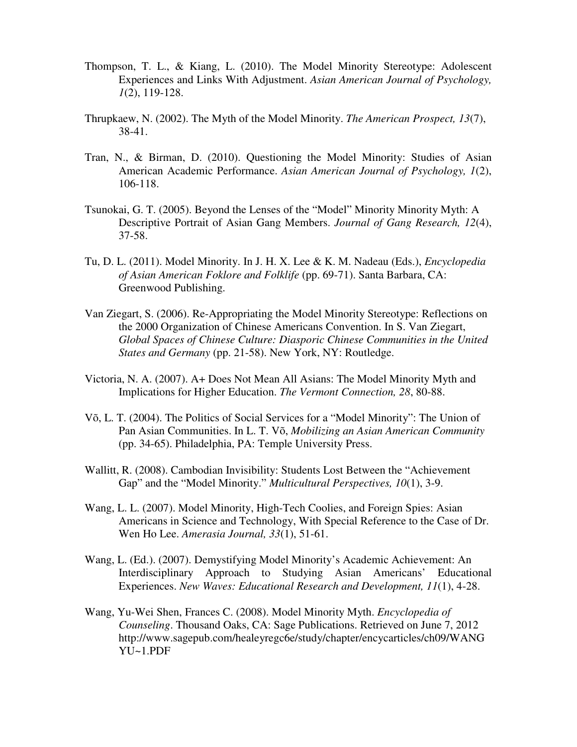- Thompson, T. L., & Kiang, L. (2010). The Model Minority Stereotype: Adolescent Experiences and Links With Adjustment. *Asian American Journal of Psychology, 1*(2), 119-128.
- Thrupkaew, N. (2002). The Myth of the Model Minority. *The American Prospect, 13*(7), 38-41.
- Tran, N., & Birman, D. (2010). Questioning the Model Minority: Studies of Asian American Academic Performance. *Asian American Journal of Psychology, 1*(2), 106-118.
- Tsunokai, G. T. (2005). Beyond the Lenses of the "Model" Minority Minority Myth: A Descriptive Portrait of Asian Gang Members. *Journal of Gang Research, 12*(4), 37-58.
- Tu, D. L. (2011). Model Minority. In J. H. X. Lee & K. M. Nadeau (Eds.), *Encyclopedia of Asian American Foklore and Folklife* (pp. 69-71). Santa Barbara, CA: Greenwood Publishing.
- Van Ziegart, S. (2006). Re-Appropriating the Model Minority Stereotype: Reflections on the 2000 Organization of Chinese Americans Convention. In S. Van Ziegart, *Global Spaces of Chinese Culture: Diasporic Chinese Communities in the United States and Germany* (pp. 21-58). New York, NY: Routledge.
- Victoria, N. A. (2007). A+ Does Not Mean All Asians: The Model Minority Myth and Implications for Higher Education. *The Vermont Connection, 28*, 80-88.
- Võ, L. T. (2004). The Politics of Social Services for a "Model Minority": The Union of Pan Asian Communities. In L. T. Võ, *Mobilizing an Asian American Community*  (pp. 34-65). Philadelphia, PA: Temple University Press.
- Wallitt, R. (2008). Cambodian Invisibility: Students Lost Between the "Achievement Gap" and the "Model Minority." *Multicultural Perspectives, 10*(1), 3-9.
- Wang, L. L. (2007). Model Minority, High-Tech Coolies, and Foreign Spies: Asian Americans in Science and Technology, With Special Reference to the Case of Dr. Wen Ho Lee. *Amerasia Journal, 33*(1), 51-61.
- Wang, L. (Ed.). (2007). Demystifying Model Minority's Academic Achievement: An Interdisciplinary Approach to Studying Asian Americans' Educational Experiences. *New Waves: Educational Research and Development, 11*(1), 4-28.
- Wang, Yu-Wei Shen, Frances C. (2008). Model Minority Myth. *Encyclopedia of Counseling*. Thousand Oaks, CA: Sage Publications. Retrieved on June 7, 2012 http://www.sagepub.com/healeyregc6e/study/chapter/encycarticles/ch09/WANG YU~1.PDF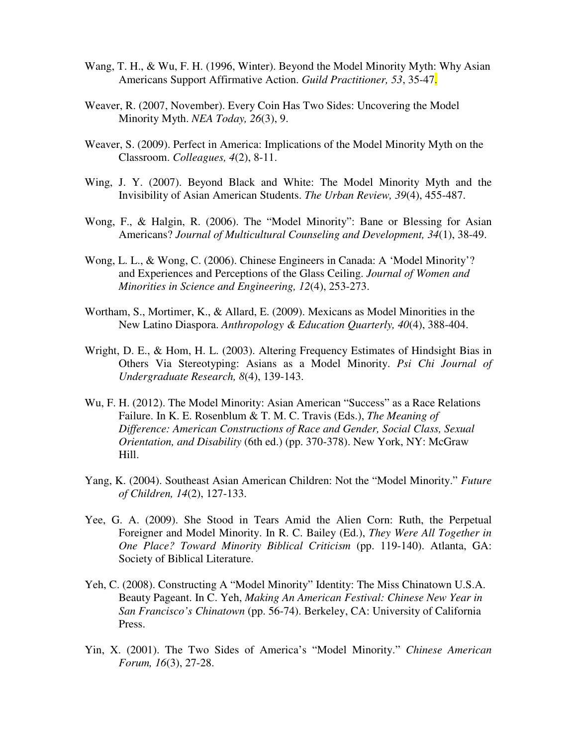- Wang, T. H., & Wu, F. H. (1996, Winter). Beyond the Model Minority Myth: Why Asian Americans Support Affirmative Action. *Guild Practitioner, 53*, 35-47.
- Weaver, R. (2007, November). Every Coin Has Two Sides: Uncovering the Model Minority Myth. *NEA Today, 26*(3), 9.
- Weaver, S. (2009). Perfect in America: Implications of the Model Minority Myth on the Classroom. *Colleagues, 4*(2), 8-11.
- Wing, J. Y. (2007). Beyond Black and White: The Model Minority Myth and the Invisibility of Asian American Students. *The Urban Review, 39*(4), 455-487.
- Wong, F., & Halgin, R. (2006). The "Model Minority": Bane or Blessing for Asian Americans? *Journal of Multicultural Counseling and Development, 34*(1), 38-49.
- Wong, L. L., & Wong, C. (2006). Chinese Engineers in Canada: A 'Model Minority'? and Experiences and Perceptions of the Glass Ceiling. *Journal of Women and Minorities in Science and Engineering, 12*(4), 253-273.
- Wortham, S., Mortimer, K., & Allard, E. (2009). Mexicans as Model Minorities in the New Latino Diaspora. *Anthropology & Education Quarterly, 40*(4), 388-404.
- Wright, D. E., & Hom, H. L. (2003). Altering Frequency Estimates of Hindsight Bias in Others Via Stereotyping: Asians as a Model Minority. *Psi Chi Journal of Undergraduate Research, 8*(4), 139-143.
- Wu, F. H. (2012). The Model Minority: Asian American "Success" as a Race Relations Failure. In K. E. Rosenblum & T. M. C. Travis (Eds.), *The Meaning of Difference: American Constructions of Race and Gender, Social Class, Sexual Orientation, and Disability* (6th ed.) (pp. 370-378). New York, NY: McGraw Hill.
- Yang, K. (2004). Southeast Asian American Children: Not the "Model Minority." *Future of Children, 14*(2), 127-133.
- Yee, G. A. (2009). She Stood in Tears Amid the Alien Corn: Ruth, the Perpetual Foreigner and Model Minority. In R. C. Bailey (Ed.), *They Were All Together in One Place? Toward Minority Biblical Criticism* (pp. 119-140). Atlanta, GA: Society of Biblical Literature.
- Yeh, C. (2008). Constructing A "Model Minority" Identity: The Miss Chinatown U.S.A. Beauty Pageant. In C. Yeh, *Making An American Festival: Chinese New Year in San Francisco's Chinatown* (pp. 56-74). Berkeley, CA: University of California Press.
- Yin, X. (2001). The Two Sides of America's "Model Minority." *Chinese American Forum, 16*(3), 27-28.